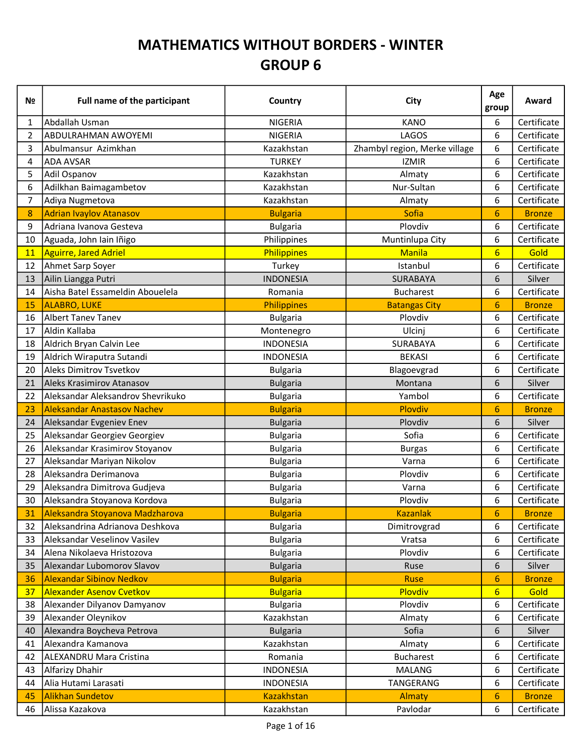## MATHEMATICS WITHOUT BORDERS - WINTER GROUP 6

| Nº             | Full name of the participant       | Country           | City                          | Age<br>group     | Award         |
|----------------|------------------------------------|-------------------|-------------------------------|------------------|---------------|
| 1              | Abdallah Usman                     | <b>NIGERIA</b>    | <b>KANO</b>                   | 6                | Certificate   |
| $\overline{2}$ | ABDULRAHMAN AWOYEMI                | <b>NIGERIA</b>    | LAGOS                         | 6                | Certificate   |
| 3              | Abulmansur Azimkhan                | Kazakhstan        | Zhambyl region, Merke village | 6                | Certificate   |
| 4              | <b>ADA AVSAR</b>                   | <b>TURKEY</b>     | <b>IZMIR</b>                  | 6                | Certificate   |
| 5              | Adil Ospanov                       | Kazakhstan        | Almaty                        | 6                | Certificate   |
| 6              | Adilkhan Baimagambetov             | Kazakhstan        | Nur-Sultan                    | 6                | Certificate   |
| 7              | Adiya Nugmetova                    | Kazakhstan        | Almaty                        | 6                | Certificate   |
| 8              | <b>Adrian Ivaylov Atanasov</b>     | <b>Bulgaria</b>   | <b>Sofia</b>                  | 6                | <b>Bronze</b> |
| 9              | Adriana Ivanova Gesteva            | <b>Bulgaria</b>   | Plovdiv                       | 6                | Certificate   |
| 10             | Aguada, John Iain Iñigo            | Philippines       | Muntinlupa City               | 6                | Certificate   |
| 11             | Aguirre, Jared Adriel              | Philippines       | <b>Manila</b>                 | $6\overline{}$   | Gold          |
| 12             | Ahmet Sarp Soyer                   | Turkey            | Istanbul                      | 6                | Certificate   |
| 13             | Ailin Liangga Putri                | <b>INDONESIA</b>  | <b>SURABAYA</b>               | 6                | Silver        |
| 14             | Aisha Batel Essameldin Abouelela   | Romania           | <b>Bucharest</b>              | 6                | Certificate   |
| 15             | <b>ALABRO, LUKE</b>                | Philippines       | <b>Batangas City</b>          | 6                | <b>Bronze</b> |
| 16             | Albert Tanev Tanev                 | <b>Bulgaria</b>   | Plovdiv                       | 6                | Certificate   |
| 17             | Aldin Kallaba                      | Montenegro        | Ulcinj                        | 6                | Certificate   |
| 18             | Aldrich Bryan Calvin Lee           | <b>INDONESIA</b>  | SURABAYA                      | 6                | Certificate   |
| 19             | Aldrich Wiraputra Sutandi          | <b>INDONESIA</b>  | <b>BEKASI</b>                 | 6                | Certificate   |
| 20             | Aleks Dimitrov Tsvetkov            | <b>Bulgaria</b>   | Blagoevgrad                   | 6                | Certificate   |
| 21             | Aleks Krasimirov Atanasov          | <b>Bulgaria</b>   | Montana                       | 6                | Silver        |
| 22             | Aleksandar Aleksandrov Shevrikuko  | <b>Bulgaria</b>   | Yambol                        | 6                | Certificate   |
| 23             | <b>Aleksandar Anastasov Nachev</b> | <b>Bulgaria</b>   | Plovdiv                       | 6                | <b>Bronze</b> |
| 24             | Aleksandar Evgeniev Enev           | <b>Bulgaria</b>   | Plovdiv                       | 6                | Silver        |
| 25             | Aleksandar Georgiev Georgiev       | <b>Bulgaria</b>   | Sofia                         | 6                | Certificate   |
| 26             | Aleksandar Krasimirov Stoyanov     | <b>Bulgaria</b>   | <b>Burgas</b>                 | 6                | Certificate   |
| 27             | Aleksandar Mariyan Nikolov         | <b>Bulgaria</b>   | Varna                         | 6                | Certificate   |
| 28             | Aleksandra Derimanova              | <b>Bulgaria</b>   | Plovdiv                       | 6                | Certificate   |
| 29             | Aleksandra Dimitrova Gudjeva       | <b>Bulgaria</b>   | Varna                         | 6                | Certificate   |
| 30             | Aleksandra Stoyanova Kordova       | <b>Bulgaria</b>   | Plovdiv                       | 6                | Certificate   |
| 31             | Aleksandra Stoyanova Madzharova    | <b>Bulgaria</b>   | <b>Kazanlak</b>               | $6 \overline{6}$ | <b>Bronze</b> |
| 32             | Aleksandrina Adrianova Deshkova    | <b>Bulgaria</b>   | Dimitrovgrad                  | 6                | Certificate   |
| 33             | Aleksandar Veselinov Vasilev       | <b>Bulgaria</b>   | Vratsa                        | 6                | Certificate   |
| 34             | Alena Nikolaeva Hristozova         | <b>Bulgaria</b>   | Plovdiv                       | 6                | Certificate   |
| 35             | Alexandar Lubomorov Slavov         | <b>Bulgaria</b>   | Ruse                          | 6                | Silver        |
| 36             | <b>Alexandar Sibinov Nedkov</b>    | <b>Bulgaria</b>   | <b>Ruse</b>                   | $6\phantom{1}6$  | <b>Bronze</b> |
| 37             | <b>Alexander Asenov Cvetkov</b>    | <b>Bulgaria</b>   | Plovdiv                       | $6\overline{6}$  | Gold          |
| 38             | Alexander Dilyanov Damyanov        | <b>Bulgaria</b>   | Plovdiv                       | 6                | Certificate   |
| 39             | Alexander Oleynikov                | Kazakhstan        | Almaty                        | 6                | Certificate   |
| 40             | Alexandra Boycheva Petrova         | <b>Bulgaria</b>   | Sofia                         | 6                | Silver        |
| 41             | Alexandra Kamanova                 | Kazakhstan        | Almaty                        | 6                | Certificate   |
| 42             | ALEXANDRU Mara Cristina            | Romania           | <b>Bucharest</b>              | 6                | Certificate   |
| 43             | Alfarizy Dhahir                    | <b>INDONESIA</b>  | <b>MALANG</b>                 | 6                | Certificate   |
| 44             | Alia Hutami Larasati               | <b>INDONESIA</b>  | TANGERANG                     | 6                | Certificate   |
| 45             | <b>Alikhan Sundetov</b>            | <b>Kazakhstan</b> | Almaty                        | 6                | <b>Bronze</b> |
| 46             | Alissa Kazakova                    | Kazakhstan        | Pavlodar                      | 6                | Certificate   |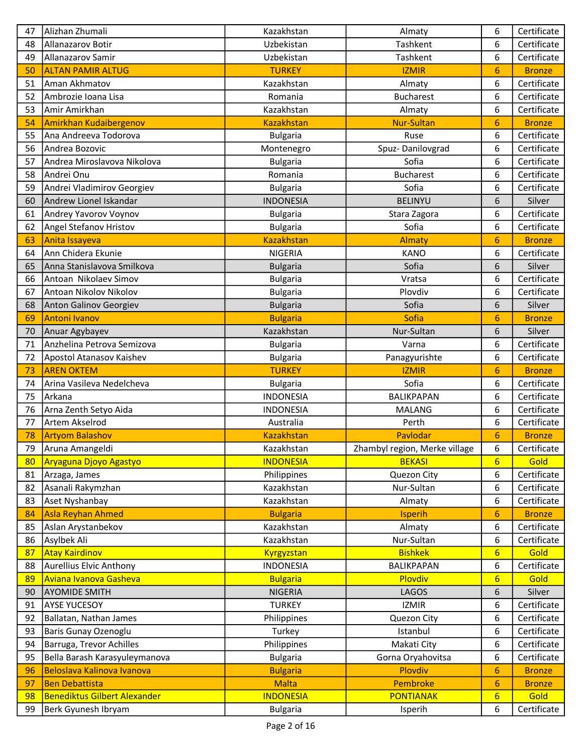| 47       | Alizhan Zhumali                               | Kazakhstan                       | Almaty                        | 6               | Certificate         |
|----------|-----------------------------------------------|----------------------------------|-------------------------------|-----------------|---------------------|
| 48       | Allanazarov Botir                             | Uzbekistan                       | Tashkent                      | 6               | Certificate         |
| 49       | Allanazarov Samir                             | Uzbekistan                       | Tashkent                      | 6               | Certificate         |
| 50       | <b>ALTAN PAMIR ALTUG</b>                      | <b>TURKEY</b>                    | <b>IZMIR</b>                  | 6               | <b>Bronze</b>       |
| 51       | Aman Akhmatov                                 | Kazakhstan                       | Almaty                        | 6               | Certificate         |
| 52       | Ambrozie Ioana Lisa                           | Romania                          | <b>Bucharest</b>              | 6               | Certificate         |
| 53       | Amir Amirkhan                                 | Kazakhstan                       | Almaty                        | 6               | Certificate         |
| 54       | <b>Amirkhan Kudaibergenov</b>                 | <b>Kazakhstan</b>                | <b>Nur-Sultan</b>             | 6               | <b>Bronze</b>       |
| 55       | Ana Andreeva Todorova                         | <b>Bulgaria</b>                  | Ruse                          | 6               | Certificate         |
| 56       | Andrea Bozovic                                | Montenegro                       | Spuz-Danilovgrad              | 6               | Certificate         |
| 57       | Andrea Miroslavova Nikolova                   | <b>Bulgaria</b>                  | Sofia                         | 6               | Certificate         |
| 58       | Andrei Onu                                    | Romania                          | <b>Bucharest</b>              | 6               | Certificate         |
| 59       | Andrei Vladimirov Georgiev                    | <b>Bulgaria</b>                  | Sofia                         | 6               | Certificate         |
| 60       | Andrew Lionel Iskandar                        | <b>INDONESIA</b>                 | <b>BELINYU</b>                | 6               | Silver              |
| 61       | Andrey Yavorov Voynov                         | <b>Bulgaria</b>                  | Stara Zagora                  | 6               | Certificate         |
| 62       | Angel Stefanov Hristov                        | <b>Bulgaria</b>                  | Sofia                         | 6               | Certificate         |
| 63       | Anita Issayeva                                | <b>Kazakhstan</b>                | Almaty                        | 6               | <b>Bronze</b>       |
| 64       | Ann Chidera Ekunie                            | <b>NIGERIA</b>                   | <b>KANO</b>                   | 6               | Certificate         |
| 65       | Anna Stanislavova Smilkova                    | <b>Bulgaria</b>                  | Sofia                         | 6               | Silver              |
| 66       | Antoan Nikolaev Simov                         | <b>Bulgaria</b>                  | Vratsa                        | 6               | Certificate         |
| 67       | Antoan Nikolov Nikolov                        | <b>Bulgaria</b>                  | Plovdiv                       | 6               | Certificate         |
| 68       | Anton Galinov Georgiev                        | <b>Bulgaria</b>                  | Sofia                         | 6               | Silver              |
| 69       | <b>Antoni Ivanov</b>                          | <b>Bulgaria</b>                  | Sofia                         | 6               | <b>Bronze</b>       |
| 70       | Anuar Agybayev                                | Kazakhstan                       | Nur-Sultan                    | 6               | Silver              |
| 71       | Anzhelina Petrova Semizova                    | <b>Bulgaria</b>                  | Varna                         | 6               | Certificate         |
| 72       |                                               |                                  |                               | 6               | Certificate         |
| 73       | Apostol Atanasov Kaishev<br><b>AREN OKTEM</b> | <b>Bulgaria</b><br><b>TURKEY</b> | Panagyurishte<br><b>IZMIR</b> | 6               | <b>Bronze</b>       |
| 74       | Arina Vasileva Nedelcheva                     | <b>Bulgaria</b>                  | Sofia                         | 6               | Certificate         |
| 75       | Arkana                                        | <b>INDONESIA</b>                 | BALIKPAPAN                    | 6               | Certificate         |
| 76       | Arna Zenth Setyo Aida                         | <b>INDONESIA</b>                 | <b>MALANG</b>                 | 6               | Certificate         |
| 77       | Artem Akselrod                                | Australia                        | Perth                         | 6               | Certificate         |
|          |                                               | <b>Kazakhstan</b>                | Pavlodar                      |                 |                     |
| 78       | <b>Artyom Balashov</b>                        |                                  |                               | 6               | <b>Bronze</b>       |
| 79<br>80 | Aruna Amangeldi                               | Kazakhstan                       | Zhambyl region, Merke village | 6               | Certificate<br>Gold |
|          | Aryaguna Djoyo Agastyo                        | <b>INDONESIA</b>                 | <b>BEKASI</b>                 | $6\overline{6}$ |                     |
| 81       | Arzaga, James                                 | Philippines                      | Quezon City                   | 6               | Certificate         |
| 82       | Asanali Rakymzhan                             | Kazakhstan                       | Nur-Sultan                    | 6               | Certificate         |
| 83       | Aset Nyshanbay                                | Kazakhstan                       | Almaty                        | 6               | Certificate         |
| 84       | <b>Asla Reyhan Ahmed</b>                      | <b>Bulgaria</b>                  | Isperih                       | 6               | <b>Bronze</b>       |
| 85       | Aslan Arystanbekov                            | Kazakhstan                       | Almaty                        | 6               | Certificate         |
| 86       | Asylbek Ali                                   | Kazakhstan                       | Nur-Sultan                    | 6               | Certificate         |
| 87       | <b>Atay Kairdinov</b>                         | Kyrgyzstan                       | <b>Bishkek</b>                | $6\phantom{.}6$ | Gold                |
| 88       | Aurellius Elvic Anthony                       | <b>INDONESIA</b>                 | <b>BALIKPAPAN</b>             | 6               | Certificate         |
| 89       | Aviana Ivanova Gasheva                        | <b>Bulgaria</b>                  | Plovdiv                       | $6\overline{6}$ | Gold                |
| 90       | <b>AYOMIDE SMITH</b>                          | <b>NIGERIA</b>                   | LAGOS                         | 6               | Silver              |
| 91       | <b>AYSE YUCESOY</b>                           | <b>TURKEY</b>                    | <b>IZMIR</b>                  | 6               | Certificate         |
| 92       | Ballatan, Nathan James                        | Philippines                      | Quezon City                   | 6               | Certificate         |
| 93       | Baris Gunay Ozenoglu                          | Turkey                           | Istanbul                      | 6               | Certificate         |
| 94       | Barruga, Trevor Achilles                      | Philippines                      | Makati City                   | 6               | Certificate         |
| 95       | Bella Barash Karasyuleymanova                 | <b>Bulgaria</b>                  | Gorna Oryahovitsa             | 6               | Certificate         |
| 96       | Beloslava Kalinova Ivanova                    | <b>Bulgaria</b>                  | Plovdiv                       | 6               | <b>Bronze</b>       |
| 97       | <b>Ben Debattista</b>                         | <b>Malta</b>                     | Pembroke                      | 6               | <b>Bronze</b>       |
| 98       | <b>Benediktus Gilbert Alexander</b>           | <b>INDONESIA</b>                 | <b>PONTIANAK</b>              | $6\overline{6}$ | Gold                |
| 99       | Berk Gyunesh Ibryam                           | <b>Bulgaria</b>                  | Isperih                       | 6               | Certificate         |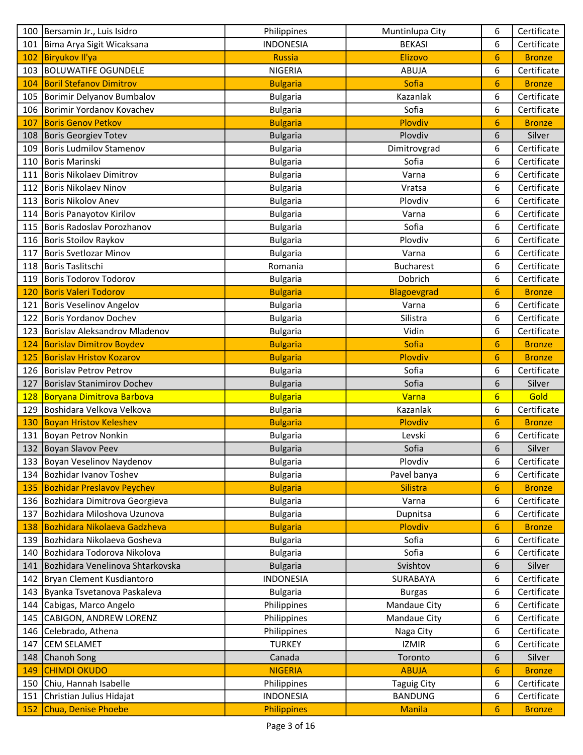|            | 100   Bersamin Jr., Luis Isidro   | Philippines      | Muntinlupa City    | 6               | Certificate   |
|------------|-----------------------------------|------------------|--------------------|-----------------|---------------|
| 101        | Bima Arya Sigit Wicaksana         | <b>INDONESIA</b> | <b>BEKASI</b>      | 6               | Certificate   |
| 102        | Biryukov Il'ya                    | <b>Russia</b>    | Elizovo            | 6               | <b>Bronze</b> |
|            | 103 BOLUWATIFE OGUNDELE           | <b>NIGERIA</b>   | <b>ABUJA</b>       | 6               | Certificate   |
| 104        | <b>Boril Stefanov Dimitrov</b>    | <b>Bulgaria</b>  | Sofia              | 6               | <b>Bronze</b> |
|            | 105 Borimir Delyanov Bumbalov     | <b>Bulgaria</b>  | Kazanlak           | 6               | Certificate   |
| 106        | Borimir Yordanov Kovachev         | <b>Bulgaria</b>  | Sofia              | 6               | Certificate   |
| 107        | <b>Boris Genov Petkov</b>         | <b>Bulgaria</b>  | Plovdiv            | 6               | <b>Bronze</b> |
| 108        | Boris Georgiev Totev              | <b>Bulgaria</b>  | Plovdiv            | 6               | Silver        |
| 109        | Boris Ludmilov Stamenov           | <b>Bulgaria</b>  | Dimitrovgrad       | 6               | Certificate   |
| 110        | Boris Marinski                    | <b>Bulgaria</b>  | Sofia              | 6               | Certificate   |
| 111        | Boris Nikolaev Dimitrov           | <b>Bulgaria</b>  | Varna              | 6               | Certificate   |
| 112        | Boris Nikolaev Ninov              | <b>Bulgaria</b>  | Vratsa             | 6               | Certificate   |
| 113        | Boris Nikolov Anev                | <b>Bulgaria</b>  | Plovdiv            | 6               | Certificate   |
| 114        | Boris Panayotov Kirilov           | <b>Bulgaria</b>  | Varna              | 6               | Certificate   |
| 115        | Boris Radoslav Porozhanov         | <b>Bulgaria</b>  | Sofia              | 6               | Certificate   |
| 116        | Boris Stoilov Raykov              | <b>Bulgaria</b>  | Plovdiv            | 6               | Certificate   |
| 117        | Boris Svetlozar Minov             | <b>Bulgaria</b>  | Varna              | 6               | Certificate   |
| 118        | Boris Taslitschi                  | Romania          | <b>Bucharest</b>   | 6               | Certificate   |
| 119        | Boris Todorov Todorov             | <b>Bulgaria</b>  | Dobrich            | 6               | Certificate   |
| 120        | <b>Boris Valeri Todorov</b>       | <b>Bulgaria</b>  | Blagoevgrad        | 6               | <b>Bronze</b> |
| 121        | Boris Veselinov Angelov           | <b>Bulgaria</b>  | Varna              | 6               | Certificate   |
| 122        | Boris Yordanov Dochev             | <b>Bulgaria</b>  | Silistra           | 6               | Certificate   |
| 123        | Borislav Aleksandrov Mladenov     | <b>Bulgaria</b>  | Vidin              | 6               | Certificate   |
| 124        | <b>Borislav Dimitrov Boydev</b>   | <b>Bulgaria</b>  | Sofia              | 6               | <b>Bronze</b> |
| 125        | <b>Borislav Hristov Kozarov</b>   | <b>Bulgaria</b>  | Plovdiv            | 6               | <b>Bronze</b> |
| 126        | Borislav Petrov Petrov            | <b>Bulgaria</b>  | Sofia              | 6               | Certificate   |
| 127        | Borislav Stanimirov Dochev        | <b>Bulgaria</b>  | Sofia              | 6               | Silver        |
| <b>128</b> | Boryana Dimitrova Barbova         | <b>Bulgaria</b>  | Varna              | $6\overline{6}$ | Gold          |
| 129        | Boshidara Velkova Velkova         | <b>Bulgaria</b>  | Kazanlak           | 6               | Certificate   |
| 130        | <b>Boyan Hristov Keleshev</b>     | <b>Bulgaria</b>  | Plovdiv            | 6               | <b>Bronze</b> |
| 131        | Boyan Petrov Nonkin               | <b>Bulgaria</b>  | Levski             | 6               | Certificate   |
|            | 132 Boyan Slavov Peev             | <b>Bulgaria</b>  | Sofia              | 6               | Silver        |
|            | 133 Boyan Veselinov Naydenov      | <b>Bulgaria</b>  | Plovdiv            | 6               | Certificate   |
| 134        | Bozhidar Ivanov Toshev            | <b>Bulgaria</b>  | Pavel banya        | 6               | Certificate   |
| 135        | <b>Bozhidar Preslavov Peychev</b> | <b>Bulgaria</b>  | Silistra           | 6               | <b>Bronze</b> |
| 136        | Bozhidara Dimitrova Georgieva     | <b>Bulgaria</b>  | Varna              | 6               | Certificate   |
| 137        | Bozhidara Miloshova Uzunova       | <b>Bulgaria</b>  | Dupnitsa           | 6               | Certificate   |
| 138        | Bozhidara Nikolaeva Gadzheva      | <b>Bulgaria</b>  | Plovdiv            | 6               | <b>Bronze</b> |
| 139        | Bozhidara Nikolaeva Gosheva       | <b>Bulgaria</b>  | Sofia              | 6               | Certificate   |
| 140        | Bozhidara Todorova Nikolova       | <b>Bulgaria</b>  | Sofia              | 6               | Certificate   |
| 141        | Bozhidara Venelinova Shtarkovska  | <b>Bulgaria</b>  | Svishtov           | 6               | Silver        |
| 142        | Bryan Clement Kusdiantoro         | <b>INDONESIA</b> | SURABAYA           | 6               | Certificate   |
| 143        | Byanka Tsvetanova Paskaleva       | <b>Bulgaria</b>  | <b>Burgas</b>      | 6               | Certificate   |
| 144        | Cabigas, Marco Angelo             | Philippines      | Mandaue City       | 6               | Certificate   |
| 145        | CABIGON, ANDREW LORENZ            | Philippines      | Mandaue City       | 6               | Certificate   |
| 146        | Celebrado, Athena                 | Philippines      | Naga City          | 6               | Certificate   |
| 147        | CEM SELAMET                       | <b>TURKEY</b>    | <b>IZMIR</b>       | 6               | Certificate   |
| 148        | Chanoh Song                       | Canada           | Toronto            | 6               | Silver        |
| 149        | <b>CHIMDI OKUDO</b>               | <b>NIGERIA</b>   | <b>ABUJA</b>       | $6\phantom{1}6$ | <b>Bronze</b> |
| 150        | Chiu, Hannah Isabelle             | Philippines      | <b>Taguig City</b> | 6               | Certificate   |
| 151        | Christian Julius Hidajat          | <b>INDONESIA</b> | <b>BANDUNG</b>     | 6               | Certificate   |
| 152        | Chua, Denise Phoebe               | Philippines      | <b>Manila</b>      | 6               | <b>Bronze</b> |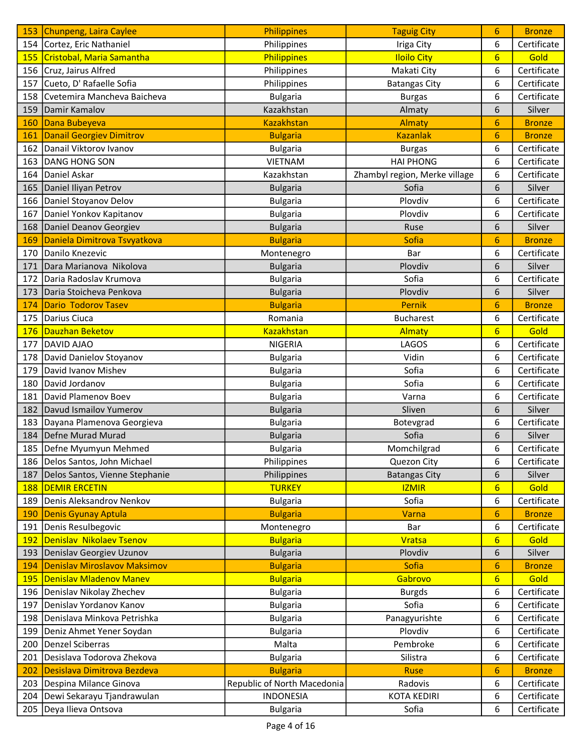| 153        | Chunpeng, Laira Caylee           | Philippines                 | <b>Taguig City</b>            | 6               | <b>Bronze</b> |
|------------|----------------------------------|-----------------------------|-------------------------------|-----------------|---------------|
|            | 154 Cortez, Eric Nathaniel       | Philippines                 | Iriga City                    | 6               | Certificate   |
| 155        | Cristobal, Maria Samantha        | Philippines                 | <b>Iloilo City</b>            | $6\overline{6}$ | Gold          |
|            | 156 Cruz, Jairus Alfred          | Philippines                 | Makati City                   | 6               | Certificate   |
| 157        | Cueto, D' Rafaelle Sofia         | Philippines                 | <b>Batangas City</b>          | 6               | Certificate   |
|            | 158 Cvetemira Mancheva Baicheva  | <b>Bulgaria</b>             | <b>Burgas</b>                 | 6               | Certificate   |
| 159        | Damir Kamalov                    | Kazakhstan                  | Almaty                        | 6               | Silver        |
| 160        | Dana Bubeyeva                    | <b>Kazakhstan</b>           | Almaty                        | 6               | <b>Bronze</b> |
| 161        | <b>Danail Georgiev Dimitrov</b>  | <b>Bulgaria</b>             | <b>Kazanlak</b>               | $6\phantom{1}$  | <b>Bronze</b> |
| 162        | Danail Viktorov Ivanov           | <b>Bulgaria</b>             | <b>Burgas</b>                 | 6               | Certificate   |
| 163        | DANG HONG SON                    | <b>VIETNAM</b>              | <b>HAI PHONG</b>              | 6               | Certificate   |
| 164        | Daniel Askar                     | Kazakhstan                  | Zhambyl region, Merke village | 6               | Certificate   |
|            | 165 Daniel Iliyan Petrov         | <b>Bulgaria</b>             | Sofia                         | 6               | Silver        |
|            | 166   Daniel Stoyanov Delov      | <b>Bulgaria</b>             | Plovdiv                       | 6               | Certificate   |
|            | 167   Daniel Yonkov Kapitanov    | <b>Bulgaria</b>             | Plovdiv                       | 6               | Certificate   |
| 168        | Daniel Deanov Georgiev           | <b>Bulgaria</b>             | Ruse                          | 6               | Silver        |
| 169        | Daniela Dimitrova Tsvyatkova     | <b>Bulgaria</b>             | Sofia                         | 6               | <b>Bronze</b> |
|            | 170 Danilo Knezevic              | Montenegro                  | Bar                           | 6               | Certificate   |
| 171        | Dara Marianova Nikolova          | <b>Bulgaria</b>             | Plovdiv                       | 6               | Silver        |
| 172        | Daria Radoslav Krumova           | <b>Bulgaria</b>             | Sofia                         | 6               | Certificate   |
| 173        | Daria Stoicheva Penkova          | <b>Bulgaria</b>             | Plovdiv                       | 6               | Silver        |
| 174        | <b>Dario Todorov Tasev</b>       | <b>Bulgaria</b>             | <b>Pernik</b>                 | 6               | <b>Bronze</b> |
| 175        | Darius Ciuca                     | Romania                     | <b>Bucharest</b>              | 6               | Certificate   |
| 176        | Dauzhan Beketov                  | <b>Kazakhstan</b>           | Almaty                        | 6               | Gold          |
| 177        | DAVID AJAO                       | <b>NIGERIA</b>              | LAGOS                         | 6               | Certificate   |
| 178        | David Danielov Stoyanov          | <b>Bulgaria</b>             | Vidin                         | 6               | Certificate   |
| 179        | David Ivanov Mishev              | <b>Bulgaria</b>             | Sofia                         | 6               | Certificate   |
| 180        | David Jordanov                   | <b>Bulgaria</b>             | Sofia                         | 6               | Certificate   |
|            | 181   David Plamenov Boev        | <b>Bulgaria</b>             | Varna                         | 6               | Certificate   |
|            | 182   Davud Ismailov Yumerov     | <b>Bulgaria</b>             | Sliven                        | 6               | Silver        |
| 183        | Dayana Plamenova Georgieva       | <b>Bulgaria</b>             | Botevgrad                     | 6               | Certificate   |
|            | 184 Defne Murad Murad            | <b>Bulgaria</b>             | Sofia                         | 6               | Silver        |
|            | 185   Defne Myumyun Mehmed       | <b>Bulgaria</b>             | Momchilgrad                   | 6               | Certificate   |
|            | 186   Delos Santos, John Michael | Philippines                 | Quezon City                   | 6               | Certificate   |
| 187        | Delos Santos, Vienne Stephanie   | Philippines                 | <b>Batangas City</b>          | 6               | Silver        |
| <b>188</b> | <b>DEMIR ERCETIN</b>             | <b>TURKEY</b>               | <b>IZMIR</b>                  | 6               | Gold          |
| 189        | Denis Aleksandrov Nenkov         | <b>Bulgaria</b>             | Sofia                         | 6               | Certificate   |
| 190        | <b>Denis Gyunay Aptula</b>       | <b>Bulgaria</b>             | Varna                         | 6               | <b>Bronze</b> |
| 191        | Denis Resulbegovic               | Montenegro                  | Bar                           | 6               | Certificate   |
| <u>192</u> | Denislav Nikolaev Tsenov         | <b>Bulgaria</b>             | <b>Vratsa</b>                 | $6\overline{6}$ | Gold          |
| 193        | Denislav Georgiev Uzunov         | <b>Bulgaria</b>             | Plovdiv                       | 6               | Silver        |
| 194        | Denislav Miroslavov Maksimov     | <b>Bulgaria</b>             | Sofia                         | 6               | <b>Bronze</b> |
| <b>195</b> | Denislav Mladenov Manev          | <b>Bulgaria</b>             | Gabrovo                       | $6\overline{}$  | Gold          |
| 196        | Denislav Nikolay Zhechev         | <b>Bulgaria</b>             | <b>Burgds</b>                 | 6               | Certificate   |
| 197        | Denislav Yordanov Kanov          | <b>Bulgaria</b>             | Sofia                         | 6               | Certificate   |
| 198        | Denislava Minkova Petrishka      | <b>Bulgaria</b>             | Panagyurishte                 | 6               | Certificate   |
| 199        | Deniz Ahmet Yener Soydan         | <b>Bulgaria</b>             | Plovdiv                       | 6               | Certificate   |
| 200        | Denzel Sciberras                 | Malta                       | Pembroke                      | 6               | Certificate   |
| 201        | Desislava Todorova Zhekova       | <b>Bulgaria</b>             | Silistra                      | 6               | Certificate   |
| 202        | Desislava Dimitrova Bezdeva      | <b>Bulgaria</b>             | <b>Ruse</b>                   | 6               | <b>Bronze</b> |
| 203        | Despina Milance Ginova           | Republic of North Macedonia | Radovis                       | 6               | Certificate   |
| 204        | Dewi Sekarayu Tjandrawulan       | <b>INDONESIA</b>            | <b>KOTA KEDIRI</b>            | 6               | Certificate   |
| 205        | Deya Ilieva Ontsova              | <b>Bulgaria</b>             | Sofia                         | 6               | Certificate   |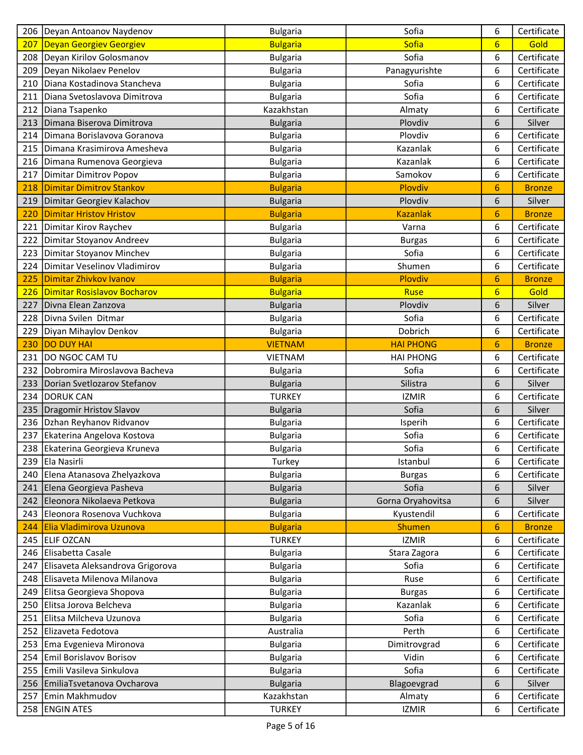|     | 206   Deyan Antoanov Naydenov                           | <b>Bulgaria</b>                    | Sofia             | 6               | Certificate   |
|-----|---------------------------------------------------------|------------------------------------|-------------------|-----------------|---------------|
| 207 | <b>Deyan Georgiev Georgiev</b>                          | <b>Bulgaria</b>                    | Sofia             | $6\overline{6}$ | Gold          |
| 208 | Deyan Kirilov Golosmanov                                | <b>Bulgaria</b>                    | Sofia             | 6               | Certificate   |
|     | 209   Deyan Nikolaev Penelov                            | <b>Bulgaria</b>                    | Panagyurishte     | 6               | Certificate   |
| 210 | Diana Kostadinova Stancheva                             | <b>Bulgaria</b>                    | Sofia             | 6               | Certificate   |
| 211 | Diana Svetoslavova Dimitrova                            | <b>Bulgaria</b>                    | Sofia             | 6               | Certificate   |
| 212 | Diana Tsapenko                                          | Kazakhstan                         | Almaty            | 6               | Certificate   |
| 213 | Dimana Biserova Dimitrova                               | <b>Bulgaria</b>                    | Plovdiv           | 6               | Silver        |
|     | 214   Dimana Borislavova Goranova                       | <b>Bulgaria</b>                    | Plovdiv           | 6               | Certificate   |
|     | 215 Dimana Krasimirova Amesheva                         | <b>Bulgaria</b>                    | Kazanlak          | 6               | Certificate   |
|     | 216   Dimana Rumenova Georgieva                         | <b>Bulgaria</b>                    | Kazanlak          | 6               | Certificate   |
| 217 | Dimitar Dimitrov Popov                                  | <b>Bulgaria</b>                    | Samokov           | 6               | Certificate   |
| 218 | <b>Dimitar Dimitrov Stankov</b>                         | <b>Bulgaria</b>                    | Plovdiv           | 6               | <b>Bronze</b> |
| 219 | Dimitar Georgiev Kalachov                               | <b>Bulgaria</b>                    | Plovdiv           | 6               | Silver        |
| 220 | <b>Dimitar Hristov Hristov</b>                          | <b>Bulgaria</b>                    | <b>Kazanlak</b>   | 6               | <b>Bronze</b> |
| 221 | Dimitar Kirov Raychev                                   | <b>Bulgaria</b>                    | Varna             | 6               | Certificate   |
|     | 222   Dimitar Stoyanov Andreev                          | <b>Bulgaria</b>                    | <b>Burgas</b>     | 6               | Certificate   |
|     | 223   Dimitar Stoyanov Minchev                          | <b>Bulgaria</b>                    | Sofia             | 6               | Certificate   |
| 224 | Dimitar Veselinov Vladimirov                            | <b>Bulgaria</b>                    | Shumen            | 6               | Certificate   |
| 225 | Dimitar Zhivkov Ivanov                                  | <b>Bulgaria</b>                    | Plovdiv           | 6               | <b>Bronze</b> |
| 226 | Dimitar Rosislavov Bocharov                             | <b>Bulgaria</b>                    | <b>Ruse</b>       | 6               | Gold          |
| 227 | Divna Elean Zanzova                                     | <b>Bulgaria</b>                    | Plovdiv           | 6               | Silver        |
| 228 | Divna Svilen Ditmar                                     | <b>Bulgaria</b>                    | Sofia             | 6               | Certificate   |
| 229 | Diyan Mihaylov Denkov                                   | <b>Bulgaria</b>                    | Dobrich           | 6               | Certificate   |
| 230 | <b>DO DUY HAI</b>                                       | <b>VIETNAM</b>                     | <b>HAI PHONG</b>  | 6               | <b>Bronze</b> |
| 231 | DO NGOC CAM TU                                          | <b>VIETNAM</b>                     | <b>HAI PHONG</b>  | 6               | Certificate   |
|     | 232 Dobromira Miroslavova Bacheva                       | <b>Bulgaria</b>                    | Sofia             | 6               | Certificate   |
| 233 | Dorian Svetlozarov Stefanov                             | <b>Bulgaria</b>                    | Silistra          | 6               | Silver        |
|     | 234   DORUK CAN                                         | <b>TURKEY</b>                      | <b>IZMIR</b>      | 6               | Certificate   |
| 235 | Dragomir Hristov Slavov                                 | <b>Bulgaria</b>                    | Sofia             | 6               | Silver        |
|     | 236   Dzhan Reyhanov Ridvanov                           | <b>Bulgaria</b>                    | Isperih           | 6               | Certificate   |
| 237 | Ekaterina Angelova Kostova                              | <b>Bulgaria</b>                    | Sofia             | 6               | Certificate   |
|     | 238 Ekaterina Georgieva Kruneva                         | <b>Bulgaria</b>                    | Sofia             | 6               | Certificate   |
|     | 239 Ela Nasirli                                         | Turkey                             | Istanbul          | 6               | Certificate   |
|     | 240 Elena Atanasova Zhelyazkova                         | <b>Bulgaria</b>                    | <b>Burgas</b>     | 6               | Certificate   |
|     | 241 Elena Georgieva Pasheva                             | <b>Bulgaria</b>                    | Sofia             | 6               | Silver        |
|     | 242 Eleonora Nikolaeva Petkova                          | <b>Bulgaria</b>                    | Gorna Oryahovitsa | 6               | Silver        |
|     | 243 Eleonora Rosenova Vuchkova                          | <b>Bulgaria</b>                    | Kyustendil        | 6               | Certificate   |
| 244 | Elia Vladimirova Uzunova                                | <b>Bulgaria</b>                    | <b>Shumen</b>     | 6               | <b>Bronze</b> |
|     | 245 ELIF OZCAN                                          | <b>TURKEY</b>                      | <b>IZMIR</b>      | 6               | Certificate   |
|     | 246 Elisabetta Casale                                   | <b>Bulgaria</b>                    | Stara Zagora      | 6               | Certificate   |
|     | 247 Elisaveta Aleksandrova Grigorova                    | <b>Bulgaria</b>                    | Sofia             | 6               | Certificate   |
|     | 248 Elisaveta Milenova Milanova                         | <b>Bulgaria</b>                    | Ruse              | 6               | Certificate   |
|     | 249 Elitsa Georgieva Shopova                            | <b>Bulgaria</b>                    | <b>Burgas</b>     | 6               | Certificate   |
|     | 250 Elitsa Jorova Belcheva                              |                                    | Kazanlak          | 6               | Certificate   |
|     | 251 Elitsa Milcheva Uzunova                             | <b>Bulgaria</b><br><b>Bulgaria</b> | Sofia             | 6               | Certificate   |
|     | 252 Elizaveta Fedotova                                  | Australia                          | Perth             | 6               | Certificate   |
| 253 |                                                         |                                    | Dimitrovgrad      | 6               | Certificate   |
|     | Ema Evgenieva Mironova                                  | <b>Bulgaria</b>                    | Vidin             |                 | Certificate   |
| 254 | Emil Borislavov Borisov<br>255 Emili Vasileva Sinkulova | <b>Bulgaria</b>                    | Sofia             | 6               | Certificate   |
|     | 256 EmiliaTsvetanova Ovcharova                          | <b>Bulgaria</b>                    |                   | 6               | Silver        |
| 257 | Emin Makhmudov                                          | <b>Bulgaria</b><br>Kazakhstan      | Blagoevgrad       | 6               | Certificate   |
|     |                                                         |                                    | Almaty            | 6               |               |
|     | 258 ENGIN ATES                                          | <b>TURKEY</b>                      | <b>IZMIR</b>      | 6               | Certificate   |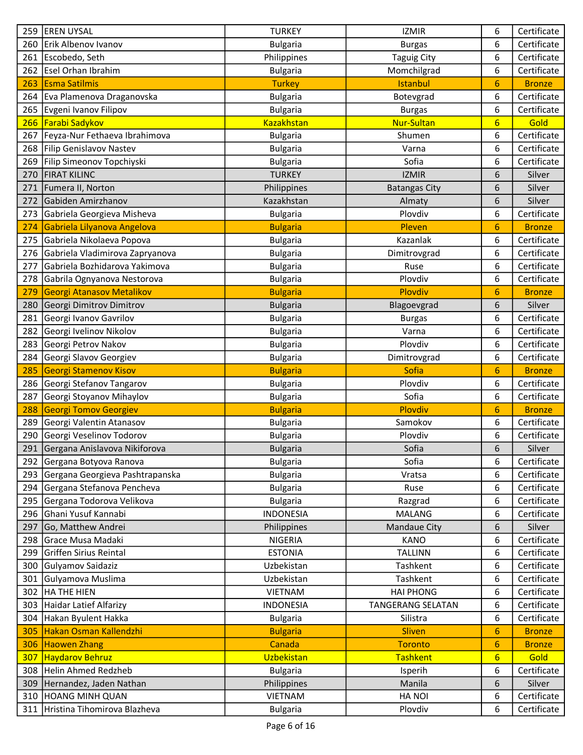| 259 | <b>EREN UYSAL</b>                   | <b>TURKEY</b>     | <b>IZMIR</b>             | 6               | Certificate   |
|-----|-------------------------------------|-------------------|--------------------------|-----------------|---------------|
|     | 260 Erik Albenov Ivanov             | <b>Bulgaria</b>   | <b>Burgas</b>            | 6               | Certificate   |
| 261 | Escobedo, Seth                      | Philippines       | <b>Taguig City</b>       | 6               | Certificate   |
| 262 | <b>Esel Orhan Ibrahim</b>           | <b>Bulgaria</b>   | Momchilgrad              | 6               | Certificate   |
| 263 | Esma Satilmis                       | <b>Turkey</b>     | <b>Istanbul</b>          | 6               | <b>Bronze</b> |
|     | 264 Eva Plamenova Draganovska       | <b>Bulgaria</b>   | Botevgrad                | 6               | Certificate   |
|     | 265 Evgeni Ivanov Filipov           | <b>Bulgaria</b>   | <b>Burgas</b>            | 6               | Certificate   |
| 266 | <b>Farabi Sadykov</b>               | <b>Kazakhstan</b> | <b>Nur-Sultan</b>        | $6\overline{6}$ | Gold          |
|     | 267   Feyza-Nur Fethaeva Ibrahimova | <b>Bulgaria</b>   | Shumen                   | 6               | Certificate   |
|     | 268 Filip Genislavov Nastev         | <b>Bulgaria</b>   | Varna                    | 6               | Certificate   |
|     | 269 Filip Simeonov Topchiyski       | <b>Bulgaria</b>   | Sofia                    | 6               | Certificate   |
| 270 | <b>FIRAT KILINC</b>                 | <b>TURKEY</b>     | <b>IZMIR</b>             | 6               | Silver        |
| 271 | Fumera II, Norton                   | Philippines       | <b>Batangas City</b>     | 6               | Silver        |
| 272 | Gabiden Amirzhanov                  | Kazakhstan        | Almaty                   | 6               | Silver        |
| 273 | Gabriela Georgieva Misheva          | <b>Bulgaria</b>   | Plovdiv                  | 6               | Certificate   |
| 274 | Gabriela Lilyanova Angelova         | <b>Bulgaria</b>   | Pleven                   | 6               | <b>Bronze</b> |
| 275 | Gabriela Nikolaeva Popova           | <b>Bulgaria</b>   | Kazanlak                 | 6               | Certificate   |
|     | 276 Gabriela Vladimirova Zapryanova | <b>Bulgaria</b>   | Dimitrovgrad             | 6               | Certificate   |
| 277 | Gabriela Bozhidarova Yakimova       | <b>Bulgaria</b>   | Ruse                     | 6               | Certificate   |
| 278 | Gabrila Ognyanova Nestorova         | <b>Bulgaria</b>   | Plovdiv                  | 6               | Certificate   |
| 279 | Georgi Atanasov Metalikov           | <b>Bulgaria</b>   | Plovdiv                  | 6               | <b>Bronze</b> |
| 280 | Georgi Dimitrov Dimitrov            | <b>Bulgaria</b>   | Blagoevgrad              | 6               | Silver        |
| 281 | Georgi Ivanov Gavrilov              | <b>Bulgaria</b>   | <b>Burgas</b>            | 6               | Certificate   |
| 282 | Georgi Ivelinov Nikolov             | <b>Bulgaria</b>   | Varna                    | 6               | Certificate   |
| 283 | Georgi Petrov Nakov                 | <b>Bulgaria</b>   | Plovdiv                  | 6               | Certificate   |
| 284 | Georgi Slavov Georgiev              | <b>Bulgaria</b>   | Dimitrovgrad             | 6               | Certificate   |
| 285 | <b>Georgi Stamenov Kisov</b>        | <b>Bulgaria</b>   | Sofia                    | 6               | <b>Bronze</b> |
|     | 286 Georgi Stefanov Tangarov        | <b>Bulgaria</b>   | Plovdiv                  | 6               | Certificate   |
| 287 | Georgi Stoyanov Mihaylov            | <b>Bulgaria</b>   | Sofia                    | 6               | Certificate   |
| 288 | <b>Georgi Tomov Georgiev</b>        | <b>Bulgaria</b>   | Plovdiv                  | 6               | <b>Bronze</b> |
| 289 | Georgi Valentin Atanasov            | <b>Bulgaria</b>   | Samokov                  | 6               | Certificate   |
| 290 | Georgi Veselinov Todorov            | <b>Bulgaria</b>   | Plovdiv                  | 6               | Certificate   |
|     | 291 Gergana Anislavova Nikiforova   | <b>Bulgaria</b>   | Sofia                    | 6               | Silver        |
|     | 292 Gergana Botyova Ranova          | <b>Bulgaria</b>   | Sofia                    | 6               | Certificate   |
|     | 293 Gergana Georgieva Pashtrapanska | <b>Bulgaria</b>   | Vratsa                   | 6               | Certificate   |
| 294 | Gergana Stefanova Pencheva          | <b>Bulgaria</b>   | Ruse                     | 6               | Certificate   |
| 295 | Gergana Todorova Velikova           | <b>Bulgaria</b>   | Razgrad                  | 6               | Certificate   |
| 296 | Ghani Yusuf Kannabi                 | <b>INDONESIA</b>  | <b>MALANG</b>            | 6               | Certificate   |
| 297 | Go, Matthew Andrei                  | Philippines       | <b>Mandaue City</b>      | 6               | Silver        |
| 298 | Grace Musa Madaki                   | <b>NIGERIA</b>    | <b>KANO</b>              | 6               | Certificate   |
| 299 | Griffen Sirius Reintal              | <b>ESTONIA</b>    | <b>TALLINN</b>           | 6               | Certificate   |
| 300 | Gulyamov Saidaziz                   | Uzbekistan        | Tashkent                 | 6               | Certificate   |
|     | 301 Gulyamova Muslima               | Uzbekistan        | Tashkent                 | 6               | Certificate   |
| 302 | <b>HA THE HIEN</b>                  | VIETNAM           | <b>HAI PHONG</b>         | 6               | Certificate   |
| 303 | Haidar Latief Alfarizy              | <b>INDONESIA</b>  | <b>TANGERANG SELATAN</b> | 6               | Certificate   |
|     | 304 Hakan Byulent Hakka             | <b>Bulgaria</b>   | Silistra                 | 6               | Certificate   |
| 305 | Hakan Osman Kallendzhi              | <b>Bulgaria</b>   | <b>Sliven</b>            | 6               | <b>Bronze</b> |
| 306 | <b>Haowen Zhang</b>                 | Canada            | <b>Toronto</b>           | 6               | <b>Bronze</b> |
| 307 | Haydarov Behruz                     | <b>Uzbekistan</b> | <b>Tashkent</b>          | 6               | Gold          |
|     | 308 Helin Ahmed Redzheb             | <b>Bulgaria</b>   | Isperih                  | 6               | Certificate   |
| 309 | Hernandez, Jaden Nathan             | Philippines       | Manila                   | 6               | Silver        |
|     | 310 HOANG MINH QUAN                 | <b>VIETNAM</b>    | <b>HANOI</b>             | 6               | Certificate   |
|     | 311 Hristina Tihomirova Blazheva    | <b>Bulgaria</b>   | Plovdiv                  | 6               | Certificate   |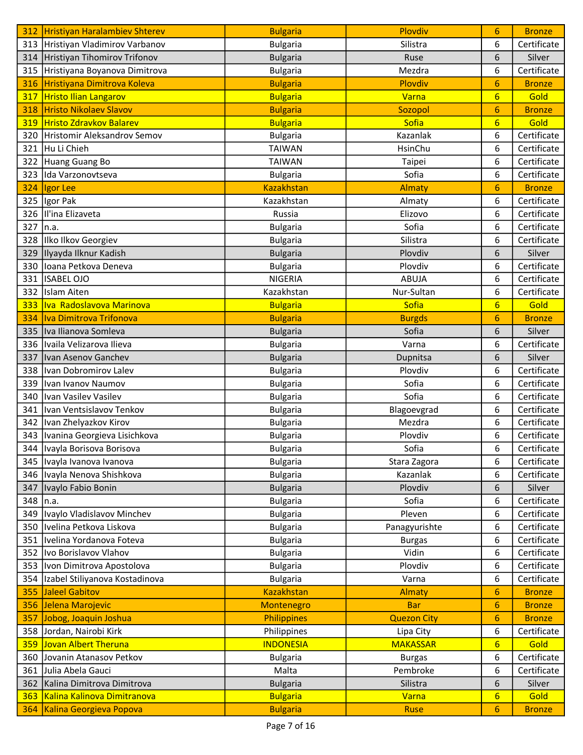| 312 | <b>Hristiyan Haralambiev Shterev</b> | <b>Bulgaria</b>    | Plovdiv            | 6               | <b>Bronze</b> |
|-----|--------------------------------------|--------------------|--------------------|-----------------|---------------|
|     | 313 Hristiyan Vladimirov Varbanov    | <b>Bulgaria</b>    | Silistra           | 6               | Certificate   |
|     | 314 Hristiyan Tihomirov Trifonov     | <b>Bulgaria</b>    | Ruse               | 6               | Silver        |
| 315 | Hristiyana Boyanova Dimitrova        | <b>Bulgaria</b>    | Mezdra             | 6               | Certificate   |
| 316 | Hristiyana Dimitrova Koleva          | <b>Bulgaria</b>    | Plovdiv            | 6               | <b>Bronze</b> |
| 317 | <b>Hristo Ilian Langarov</b>         | <b>Bulgaria</b>    | Varna              | $6\overline{6}$ | Gold          |
| 318 | Hristo Nikolaev Slavov               | <b>Bulgaria</b>    | Sozopol            | 6               | <b>Bronze</b> |
| 319 | Hristo Zdravkov Balarev              | <b>Bulgaria</b>    | Sofia              | $6\overline{6}$ | Gold          |
| 320 | Hristomir Aleksandrov Semov          | <b>Bulgaria</b>    | Kazanlak           | 6               | Certificate   |
| 321 | Hu Li Chieh                          | <b>TAIWAN</b>      | HsinChu            | 6               | Certificate   |
| 322 | Huang Guang Bo                       | <b>TAIWAN</b>      | Taipei             | 6               | Certificate   |
| 323 | Ida Varzonovtseva                    | <b>Bulgaria</b>    | Sofia              | 6               | Certificate   |
| 324 | Igor Lee                             | <b>Kazakhstan</b>  | Almaty             | 6               | <b>Bronze</b> |
| 325 | Igor Pak                             | Kazakhstan         | Almaty             | 6               | Certificate   |
| 326 | Il'ina Elizaveta                     | Russia             | Elizovo            | 6               | Certificate   |
| 327 | n.a.                                 | <b>Bulgaria</b>    | Sofia              | 6               | Certificate   |
| 328 | Ilko Ilkov Georgiev                  | <b>Bulgaria</b>    | Silistra           | 6               | Certificate   |
| 329 | Ilyayda Ilknur Kadish                | <b>Bulgaria</b>    | Plovdiv            | 6               | Silver        |
| 330 | Ioana Petkova Deneva                 | <b>Bulgaria</b>    | Plovdiv            | 6               | Certificate   |
| 331 | <b>ISABEL OJO</b>                    | <b>NIGERIA</b>     | <b>ABUJA</b>       | 6               | Certificate   |
| 332 | Islam Aiten                          | Kazakhstan         | Nur-Sultan         | 6               | Certificate   |
| 333 | Iva Radoslavova Marinova             | <b>Bulgaria</b>    | Sofia              | $6\overline{6}$ | Gold          |
| 334 | Iva Dimitrova Trifonova              | <b>Bulgaria</b>    | <b>Burgds</b>      | 6               | <b>Bronze</b> |
| 335 | Iva Ilianova Somleva                 | <b>Bulgaria</b>    | Sofia              | 6               | Silver        |
| 336 | Ivaila Velizarova Ilieva             | <b>Bulgaria</b>    | Varna              | 6               | Certificate   |
| 337 | Ivan Asenov Ganchev                  | <b>Bulgaria</b>    | Dupnitsa           | 6               | Silver        |
|     | 338   Ivan Dobromirov Lalev          | <b>Bulgaria</b>    | Plovdiv            | 6               | Certificate   |
| 339 | Ivan Ivanov Naumov                   | <b>Bulgaria</b>    | Sofia              | 6               | Certificate   |
| 340 | Ivan Vasilev Vasilev                 | <b>Bulgaria</b>    | Sofia              | 6               | Certificate   |
| 341 | Ivan Ventsislavov Tenkov             | <b>Bulgaria</b>    | Blagoevgrad        | 6               | Certificate   |
| 342 | Ivan Zhelyazkov Kirov                | <b>Bulgaria</b>    | Mezdra             | 6               | Certificate   |
| 343 | Ivanina Georgieva Lisichkova         | <b>Bulgaria</b>    | Plovdiv            | 6               | Certificate   |
| 344 | Ivayla Borisova Borisova             | <b>Bulgaria</b>    | Sofia              | 6               | Certificate   |
| 345 | Ivayla Ivanova Ivanova               | <b>Bulgaria</b>    | Stara Zagora       | 6               | Certificate   |
|     | 346 Ivayla Nenova Shishkova          | <b>Bulgaria</b>    | Kazanlak           | 6               | Certificate   |
| 347 | Ivaylo Fabio Bonin                   | <b>Bulgaria</b>    | Plovdiv            | 6               | Silver        |
| 348 | In.a.                                | <b>Bulgaria</b>    | Sofia              | 6               | Certificate   |
| 349 | Ivaylo Vladislavov Minchev           | <b>Bulgaria</b>    | Pleven             | 6               | Certificate   |
| 350 | Ivelina Petkova Liskova              | <b>Bulgaria</b>    | Panagyurishte      | 6               | Certificate   |
| 351 | Ivelina Yordanova Foteva             | <b>Bulgaria</b>    | <b>Burgas</b>      | 6               | Certificate   |
| 352 | Ivo Borislavov Vlahov                | <b>Bulgaria</b>    | Vidin              | 6               | Certificate   |
| 353 | Ivon Dimitrova Apostolova            | <b>Bulgaria</b>    | Plovdiv            | 6               | Certificate   |
| 354 | Izabel Stiliyanova Kostadinova       | <b>Bulgaria</b>    | Varna              | 6               | Certificate   |
| 355 | <b>Jaleel Gabitov</b>                | <b>Kazakhstan</b>  | Almaty             | 6               | <b>Bronze</b> |
| 356 | Jelena Marojevic                     | Montenegro         | <b>Bar</b>         | 6               | <b>Bronze</b> |
| 357 | Jobog, Joaquin Joshua                | <b>Philippines</b> | <b>Quezon City</b> | 6               | <b>Bronze</b> |
| 358 | Jordan, Nairobi Kirk                 | Philippines        | Lipa City          | 6               | Certificate   |
| 359 | Jovan Albert Theruna                 | <b>INDONESIA</b>   | <b>MAKASSAR</b>    | $6 \overline{}$ | Gold          |
| 360 | Jovanin Atanasov Petkov              | <b>Bulgaria</b>    | <b>Burgas</b>      | 6               | Certificate   |
| 361 | Julia Abela Gauci                    | Malta              | Pembroke           | 6               | Certificate   |
| 362 | Kalina Dimitrova Dimitrova           | <b>Bulgaria</b>    | Silistra           | 6               | Silver        |
| 363 | Kalina Kalinova Dimitranova          | <b>Bulgaria</b>    | Varna              | $6\phantom{1}6$ | Gold          |
| 364 | Kalina Georgieva Popova              | <b>Bulgaria</b>    | <b>Ruse</b>        | 6               | <b>Bronze</b> |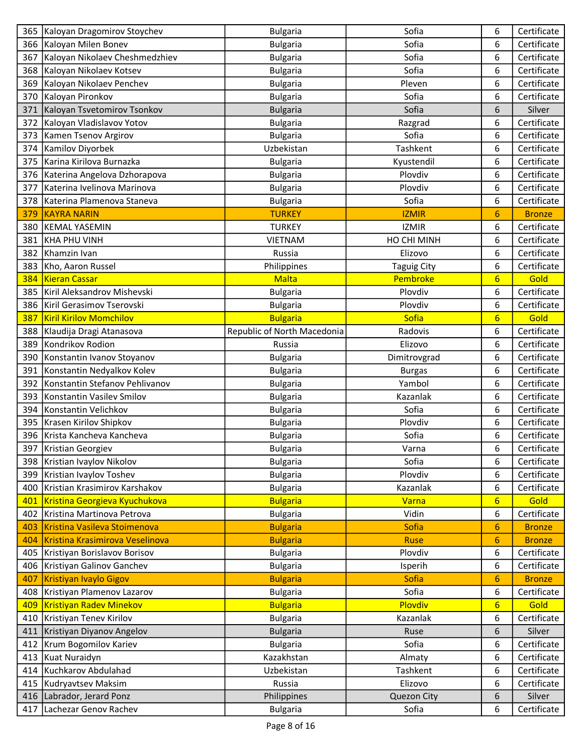|     | 365   Kaloyan Dragomirov Stoychev | <b>Bulgaria</b>             | Sofia              | 6               | Certificate   |
|-----|-----------------------------------|-----------------------------|--------------------|-----------------|---------------|
|     | 366   Kaloyan Milen Bonev         | <b>Bulgaria</b>             | Sofia              | 6               | Certificate   |
| 367 | Kaloyan Nikolaev Cheshmedzhiev    | <b>Bulgaria</b>             | Sofia              | 6               | Certificate   |
|     | 368   Kaloyan Nikolaev Kotsev     | <b>Bulgaria</b>             | Sofia              | 6               | Certificate   |
| 369 | Kaloyan Nikolaev Penchev          | <b>Bulgaria</b>             | Pleven             | 6               | Certificate   |
| 370 | Kaloyan Pironkov                  | <b>Bulgaria</b>             | Sofia              | 6               | Certificate   |
| 371 | Kaloyan Tsvetomirov Tsonkov       | <b>Bulgaria</b>             | Sofia              | 6               | Silver        |
| 372 | Kaloyan Vladislavov Yotov         | <b>Bulgaria</b>             | Razgrad            | 6               | Certificate   |
| 373 | Kamen Tsenov Argirov              | <b>Bulgaria</b>             | Sofia              | 6               | Certificate   |
|     | 374   Kamilov Diyorbek            | Uzbekistan                  | Tashkent           | 6               | Certificate   |
|     | 375 Karina Kirilova Burnazka      | <b>Bulgaria</b>             | Kyustendil         | 6               | Certificate   |
|     | 376 Katerina Angelova Dzhorapova  | <b>Bulgaria</b>             | Plovdiv            | 6               | Certificate   |
| 377 | Katerina Ivelinova Marinova       | <b>Bulgaria</b>             | Plovdiv            | 6               | Certificate   |
| 378 | Katerina Plamenova Staneva        | <b>Bulgaria</b>             | Sofia              | 6               | Certificate   |
| 379 | <b>KAYRA NARIN</b>                | <b>TURKEY</b>               | <b>IZMIR</b>       | $6\overline{6}$ | <b>Bronze</b> |
| 380 | KEMAL YASEMIN                     | <b>TURKEY</b>               | <b>IZMIR</b>       | 6               | Certificate   |
| 381 | KHA PHU VINH                      | <b>VIETNAM</b>              | HO CHI MINH        | 6               | Certificate   |
|     | 382 Khamzin Ivan                  | Russia                      | Elizovo            | 6               | Certificate   |
| 383 | Kho, Aaron Russel                 | Philippines                 | <b>Taguig City</b> | 6               | Certificate   |
| 384 | Kieran Cassar                     | Malta                       | Pembroke           | $6\phantom{1}6$ | Gold          |
| 385 | Kiril Aleksandrov Mishevski       | <b>Bulgaria</b>             | Plovdiv            | 6               | Certificate   |
| 386 | Kiril Gerasimov Tserovski         | <b>Bulgaria</b>             | Plovdiv            | 6               | Certificate   |
| 387 | <b>Kiril Kirilov Momchilov</b>    | <b>Bulgaria</b>             | Sofia              | $6\overline{6}$ | Gold          |
| 388 | Klaudija Dragi Atanasova          | Republic of North Macedonia | Radovis            | 6               | Certificate   |
| 389 | Kondrikov Rodion                  | Russia                      | Elizovo            | 6               | Certificate   |
| 390 | Konstantin Ivanov Stoyanov        | <b>Bulgaria</b>             | Dimitrovgrad       | 6               | Certificate   |
|     | 391 Konstantin Nedyalkov Kolev    | <b>Bulgaria</b>             | <b>Burgas</b>      | 6               | Certificate   |
| 392 | Konstantin Stefanov Pehlivanov    | <b>Bulgaria</b>             | Yambol             | 6               | Certificate   |
| 393 | Konstantin Vasilev Smilov         | <b>Bulgaria</b>             | Kazanlak           | 6               | Certificate   |
| 394 | Konstantin Velichkov              | <b>Bulgaria</b>             | Sofia              | 6               | Certificate   |
| 395 | Krasen Kirilov Shipkov            | <b>Bulgaria</b>             | Plovdiv            | 6               | Certificate   |
| 396 | Krista Kancheva Kancheva          | <b>Bulgaria</b>             | Sofia              | 6               | Certificate   |
|     | 397 Kristian Georgiev             | <b>Bulgaria</b>             | Varna              | 6               | Certificate   |
|     | 398   Kristian Ivaylov Nikolov    | <b>Bulgaria</b>             | Sofia              | 6               | Certificate   |
|     | 399 Kristian Ivaylov Toshev       | <b>Bulgaria</b>             | Plovdiv            | 6               | Certificate   |
| 400 | Kristian Krasimirov Karshakov     | <b>Bulgaria</b>             | Kazanlak           | 6               | Certificate   |
| 401 | Kristina Georgieva Kyuchukova     | <b>Bulgaria</b>             | Varna              | $6\phantom{1}6$ | Gold          |
| 402 | Kristina Martinova Petrova        | <b>Bulgaria</b>             | Vidin              | 6               | Certificate   |
| 403 | Kristina Vasileva Stoimenova      | <b>Bulgaria</b>             | <b>Sofia</b>       | 6               | <b>Bronze</b> |
| 404 | Kristina Krasimirova Veselinova   | <b>Bulgaria</b>             | <b>Ruse</b>        | 6               | <b>Bronze</b> |
| 405 | Kristiyan Borislavov Borisov      | <b>Bulgaria</b>             | Plovdiv            | 6               | Certificate   |
|     | 406   Kristiyan Galinov Ganchev   | <b>Bulgaria</b>             | Isperih            | 6               | Certificate   |
| 407 | Kristiyan Ivaylo Gigov            | <b>Bulgaria</b>             | <b>Sofia</b>       | $6\phantom{1}6$ | <b>Bronze</b> |
| 408 | Kristiyan Plamenov Lazarov        | <b>Bulgaria</b>             | Sofia              | 6               | Certificate   |
| 409 | Kristiyan Radev Minekov           | <b>Bulgaria</b>             | Plovdiv            | $6\phantom{1}6$ | Gold          |
| 410 | Kristiyan Tenev Kirilov           | <b>Bulgaria</b>             | Kazanlak           | 6               | Certificate   |
| 411 | Kristiyan Diyanov Angelov         | <b>Bulgaria</b>             | Ruse               | 6               | Silver        |
| 412 | Krum Bogomilov Kariev             | <b>Bulgaria</b>             | Sofia              | 6               | Certificate   |
| 413 | Kuat Nuraidyn                     | Kazakhstan                  | Almaty             | 6               | Certificate   |
| 414 | Kuchkarov Abdulahad               | Uzbekistan                  | Tashkent           | 6               | Certificate   |
| 415 | Kudryavtsev Maksim                | Russia                      | Elizovo            | 6               | Certificate   |
|     | 416   Labrador, Jerard Ponz       | Philippines                 | Quezon City        | 6               | Silver        |
|     | 417 Lachezar Genov Rachev         | <b>Bulgaria</b>             | Sofia              | 6               | Certificate   |
|     |                                   |                             |                    |                 |               |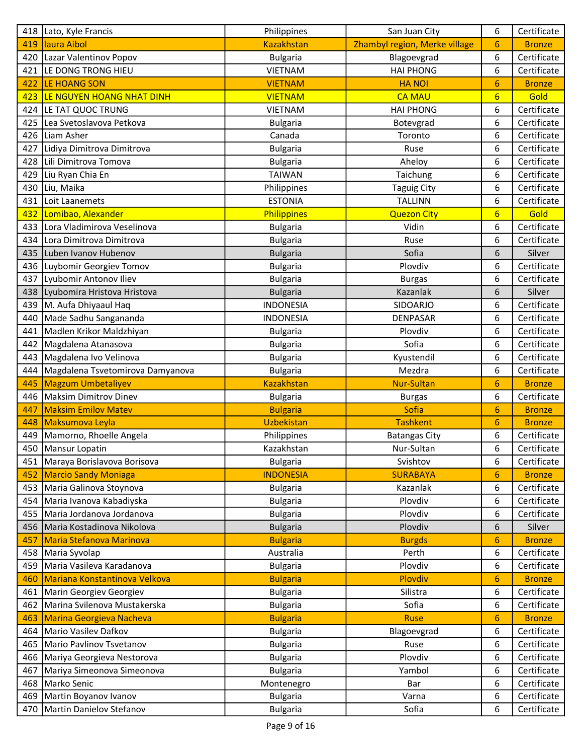|     | 418 Lato, Kyle Francis            | Philippines       | San Juan City                 | 6               | Certificate   |
|-----|-----------------------------------|-------------------|-------------------------------|-----------------|---------------|
| 419 | laura Aibol                       | <b>Kazakhstan</b> | Zhambyl region, Merke village | 6               | <b>Bronze</b> |
| 420 | Lazar Valentinov Popov            | <b>Bulgaria</b>   | Blagoevgrad                   | 6               | Certificate   |
|     | 421 LE DONG TRONG HIEU            | <b>VIETNAM</b>    | <b>HAI PHONG</b>              | 6               | Certificate   |
| 422 | LE HOANG SON                      | <b>VIETNAM</b>    | <b>HANOI</b>                  | 6               | <b>Bronze</b> |
| 423 | LE NGUYEN HOANG NHAT DINH         | <b>VIETNAM</b>    | <b>CA MAU</b>                 | $6\overline{6}$ | Gold          |
| 424 | LE TAT QUOC TRUNG                 | <b>VIETNAM</b>    | <b>HAI PHONG</b>              | 6               | Certificate   |
| 425 | Lea Svetoslavova Petkova          | <b>Bulgaria</b>   | Botevgrad                     | 6               | Certificate   |
|     | 426 Liam Asher                    | Canada            | Toronto                       | 6               | Certificate   |
|     | 427 Lidiya Dimitrova Dimitrova    | <b>Bulgaria</b>   | Ruse                          | 6               | Certificate   |
|     | 428 Lili Dimitrova Tomova         | <b>Bulgaria</b>   | Aheloy                        | 6               | Certificate   |
| 429 | Liu Ryan Chia En                  | <b>TAIWAN</b>     | Taichung                      | 6               | Certificate   |
| 430 | Liu, Maika                        | Philippines       | <b>Taguig City</b>            | 6               | Certificate   |
| 431 | Loit Laanemets                    | <b>ESTONIA</b>    | <b>TALLINN</b>                | 6               | Certificate   |
| 432 | Lomibao, Alexander                | Philippines       | <b>Quezon City</b>            | $6\overline{6}$ | Gold          |
| 433 | Lora Vladimirova Veselinova       | <b>Bulgaria</b>   | Vidin                         | 6               | Certificate   |
| 434 | Lora Dimitrova Dimitrova          | <b>Bulgaria</b>   | Ruse                          | 6               | Certificate   |
|     | 435 Luben Ivanov Hubenov          | <b>Bulgaria</b>   | Sofia                         | 6               | Silver        |
|     | 436   Luybomir Georgiev Tomov     | <b>Bulgaria</b>   | Plovdiv                       | 6               | Certificate   |
| 437 | Lyubomir Antonov Iliev            | <b>Bulgaria</b>   | <b>Burgas</b>                 | 6               | Certificate   |
|     | 438   Lyubomira Hristova Hristova | <b>Bulgaria</b>   | Kazanlak                      | 6               | Silver        |
|     | 439 M. Aufa Dhiyaaul Haq          | <b>INDONESIA</b>  | SIDOARJO                      | 6               | Certificate   |
| 440 | Made Sadhu Sangananda             | <b>INDONESIA</b>  | <b>DENPASAR</b>               | 6               | Certificate   |
| 441 | Madlen Krikor Maldzhiyan          | <b>Bulgaria</b>   | Plovdiv                       | 6               | Certificate   |
|     | 442   Magdalena Atanasova         | <b>Bulgaria</b>   | Sofia                         | 6               | Certificate   |
|     | 443   Magdalena Ivo Velinova      | <b>Bulgaria</b>   | Kyustendil                    | 6               | Certificate   |
| 444 | Magdalena Tsvetomirova Damyanova  | <b>Bulgaria</b>   | Mezdra                        | 6               | Certificate   |
| 445 | <b>Magzum Umbetaliyev</b>         | <b>Kazakhstan</b> | <b>Nur-Sultan</b>             | 6               | <b>Bronze</b> |
|     | 446   Maksim Dimitrov Dinev       | <b>Bulgaria</b>   | <b>Burgas</b>                 | 6               | Certificate   |
| 447 | <b>Maksim Emilov Matev</b>        | <b>Bulgaria</b>   | Sofia                         | 6               | <b>Bronze</b> |
| 448 | Maksumova Leyla                   | Uzbekistan        | <b>Tashkent</b>               | 6               | <b>Bronze</b> |
| 449 | Mamorno, Rhoelle Angela           | Philippines       | <b>Batangas City</b>          | 6               | Certificate   |
|     | 450   Mansur Lopatin              | Kazakhstan        | Nur-Sultan                    | 6               | Certificate   |
|     | 451   Maraya Borislavova Borisova | <b>Bulgaria</b>   | Svishtov                      | 6               | Certificate   |
| 452 | <b>Marcio Sandy Moniaga</b>       | <b>INDONESIA</b>  | <b>SURABAYA</b>               | 6               | <b>Bronze</b> |
| 453 | Maria Galinova Stoynova           | <b>Bulgaria</b>   | Kazanlak                      | 6               | Certificate   |
| 454 | Maria Ivanova Kabadiyska          | <b>Bulgaria</b>   | Plovdiv                       | 6               | Certificate   |
| 455 | Maria Jordanova Jordanova         | <b>Bulgaria</b>   | Plovdiv                       | 6               | Certificate   |
|     | 456 Maria Kostadinova Nikolova    | <b>Bulgaria</b>   | Plovdiv                       | 6               | Silver        |
| 457 | <b>Maria Stefanova Marinova</b>   | <b>Bulgaria</b>   | <b>Burgds</b>                 | 6               | <b>Bronze</b> |
|     | 458   Maria Syvolap               | Australia         | Perth                         | 6               | Certificate   |
|     | 459 Maria Vasileva Karadanova     | <b>Bulgaria</b>   | Plovdiv                       | 6               | Certificate   |
| 460 | Mariana Konstantinova Velkova     | <b>Bulgaria</b>   | Plovdiv                       | 6               | <b>Bronze</b> |
| 461 | Marin Georgiev Georgiev           | <b>Bulgaria</b>   | Silistra                      | 6               | Certificate   |
| 462 | Marina Svilenova Mustakerska      | <b>Bulgaria</b>   | Sofia                         | 6               | Certificate   |
| 463 | Marina Georgieva Nacheva          | <b>Bulgaria</b>   | <b>Ruse</b>                   | 6               | <b>Bronze</b> |
| 464 | Mario Vasilev Dafkov              | <b>Bulgaria</b>   | Blagoevgrad                   | 6               | Certificate   |
| 465 | Mario Pavlinov Tsvetanov          | <b>Bulgaria</b>   | Ruse                          | 6               | Certificate   |
|     | 466 Mariya Georgieva Nestorova    | <b>Bulgaria</b>   | Plovdiv                       | 6               | Certificate   |
| 467 | Mariya Simeonova Simeonova        | <b>Bulgaria</b>   | Yambol                        | 6               | Certificate   |
| 468 | Marko Senic                       | Montenegro        | Bar                           | 6               | Certificate   |
|     | 469   Martin Boyanov Ivanov       | <b>Bulgaria</b>   | Varna                         | 6               | Certificate   |
|     | 470   Martin Danielov Stefanov    | <b>Bulgaria</b>   | Sofia                         | 6               | Certificate   |
|     |                                   |                   |                               |                 |               |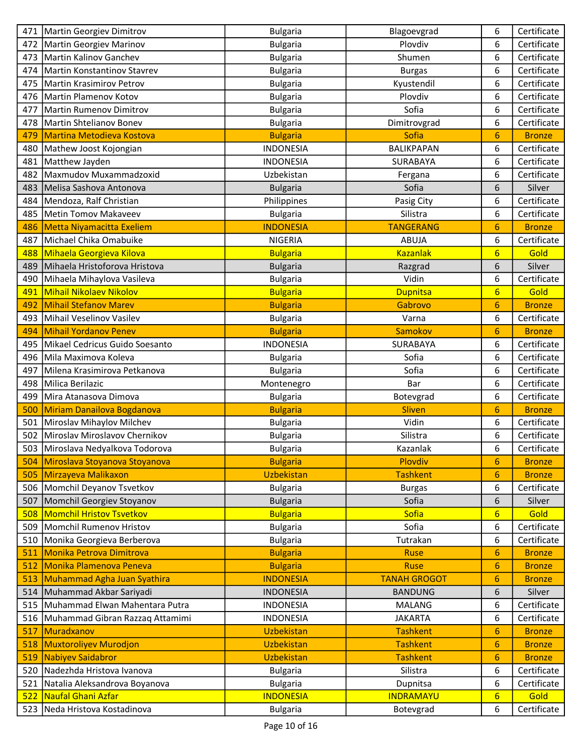|     | 471   Martin Georgiev Dimitrov        | <b>Bulgaria</b>   | Blagoevgrad         | 6               | Certificate   |
|-----|---------------------------------------|-------------------|---------------------|-----------------|---------------|
|     | 472   Martin Georgiev Marinov         | <b>Bulgaria</b>   | Plovdiv             | 6               | Certificate   |
| 473 | Martin Kalinov Ganchev                | <b>Bulgaria</b>   | Shumen              | 6               | Certificate   |
| 474 | Martin Konstantinov Stavrev           | <b>Bulgaria</b>   | <b>Burgas</b>       | 6               | Certificate   |
| 475 | Martin Krasimirov Petrov              | <b>Bulgaria</b>   | Kyustendil          | 6               | Certificate   |
| 476 | Martin Plamenov Kotov                 | <b>Bulgaria</b>   | Plovdiv             | 6               | Certificate   |
| 477 | Martin Rumenov Dimitrov               | <b>Bulgaria</b>   | Sofia               | 6               | Certificate   |
| 478 | Martin Shtelianov Bonev               | <b>Bulgaria</b>   | Dimitrovgrad        | 6               | Certificate   |
| 479 | <b>Martina Metodieva Kostova</b>      | <b>Bulgaria</b>   | Sofia               | 6               | <b>Bronze</b> |
| 480 | Mathew Joost Kojongian                | <b>INDONESIA</b>  | <b>BALIKPAPAN</b>   | 6               | Certificate   |
| 481 | Matthew Jayden                        | <b>INDONESIA</b>  | SURABAYA            | 6               | Certificate   |
| 482 | Maxmudov Muxammadzoxid                | Uzbekistan        | Fergana             | 6               | Certificate   |
| 483 | Melisa Sashova Antonova               | <b>Bulgaria</b>   | Sofia               | 6               | Silver        |
| 484 | Mendoza, Ralf Christian               | Philippines       | Pasig City          | 6               | Certificate   |
| 485 | Metin Tomov Makaveev                  | <b>Bulgaria</b>   | Silistra            | 6               | Certificate   |
| 486 | <b>Metta Niyamacitta Exeliem</b>      | <b>INDONESIA</b>  | <b>TANGERANG</b>    | 6               | <b>Bronze</b> |
| 487 | Michael Chika Omabuike                | <b>NIGERIA</b>    | <b>ABUJA</b>        | 6               | Certificate   |
| 488 | Mihaela Georgieva Kilova              | <b>Bulgaria</b>   | <b>Kazanlak</b>     | $6\overline{6}$ | Gold          |
| 489 | Mihaela Hristoforova Hristova         | <b>Bulgaria</b>   | Razgrad             | 6               | Silver        |
| 490 | Mihaela Mihaylova Vasileva            | <b>Bulgaria</b>   | Vidin               | 6               | Certificate   |
| 491 | Mihail Nikolaev Nikolov               | <b>Bulgaria</b>   | <b>Dupnitsa</b>     | $6\overline{6}$ | Gold          |
| 492 | <b>Mihail Stefanov Marev</b>          | <b>Bulgaria</b>   | Gabrovo             | 6               | <b>Bronze</b> |
| 493 | Mihail Veselinov Vasilev              | <b>Bulgaria</b>   | Varna               | 6               | Certificate   |
| 494 | <b>Mihail Yordanov Penev</b>          | <b>Bulgaria</b>   | Samokov             | 6               | <b>Bronze</b> |
| 495 | Mikael Cedricus Guido Soesanto        | <b>INDONESIA</b>  | SURABAYA            | 6               | Certificate   |
| 496 | Mila Maximova Koleva                  | <b>Bulgaria</b>   | Sofia               | 6               | Certificate   |
| 497 | Milena Krasimirova Petkanova          | <b>Bulgaria</b>   | Sofia               | 6               | Certificate   |
| 498 | Milica Berilazic                      | Montenegro        | Bar                 | 6               | Certificate   |
| 499 | Mira Atanasova Dimova                 | <b>Bulgaria</b>   | Botevgrad           | 6               | Certificate   |
| 500 | Miriam Danailova Bogdanova            | <b>Bulgaria</b>   | <b>Sliven</b>       | 6               | <b>Bronze</b> |
| 501 | Miroslav Mihaylov Milchev             | <b>Bulgaria</b>   | Vidin               | 6               | Certificate   |
| 502 | Miroslav Miroslavov Chernikov         | <b>Bulgaria</b>   | Silistra            | 6               | Certificate   |
|     | 503 Miroslava Nedyalkova Todorova     | <b>Bulgaria</b>   | Kazanlak            | 6               | Certificate   |
| 504 | Miroslava Stoyanova Stoyanova         | <b>Bulgaria</b>   | Plovdiv             | 6               | <b>Bronze</b> |
| 505 | Mirzayeva Malikaxon                   | <b>Uzbekistan</b> | <b>Tashkent</b>     | 6               | <b>Bronze</b> |
|     | 506 Momchil Deyanov Tsvetkov          | <b>Bulgaria</b>   | <b>Burgas</b>       | 6               | Certificate   |
| 507 | Momchil Georgiev Stoyanov             | <b>Bulgaria</b>   | Sofia               | 6               | Silver        |
| 508 | <b>Momchil Hristov Tsvetkov</b>       | <b>Bulgaria</b>   | Sofia               | $6\phantom{1}6$ | Gold          |
|     | 509 Momchil Rumenov Hristov           | <b>Bulgaria</b>   | Sofia               | 6               | Certificate   |
| 510 | Monika Georgieva Berberova            | <b>Bulgaria</b>   | Tutrakan            | 6               | Certificate   |
| 511 | Monika Petrova Dimitrova              | <b>Bulgaria</b>   | <b>Ruse</b>         | 6               | <b>Bronze</b> |
| 512 | Monika Plamenova Peneva               | <b>Bulgaria</b>   | <b>Ruse</b>         | 6               | <b>Bronze</b> |
| 513 | Muhammad Agha Juan Syathira           | <b>INDONESIA</b>  | <b>TANAH GROGOT</b> | 6               | <b>Bronze</b> |
| 514 | Muhammad Akbar Sariyadi               | <b>INDONESIA</b>  | <b>BANDUNG</b>      | 6               | Silver        |
|     | 515 Muhammad Elwan Mahentara Putra    | <b>INDONESIA</b>  | <b>MALANG</b>       | 6               | Certificate   |
|     | 516   Muhammad Gibran Razzaq Attamimi | <b>INDONESIA</b>  | <b>JAKARTA</b>      | 6               | Certificate   |
| 517 | Muradxanov                            | Uzbekistan        | <b>Tashkent</b>     | 6               | <b>Bronze</b> |
| 518 | Muxtoroliyev Murodjon                 | <b>Uzbekistan</b> | <b>Tashkent</b>     | 6               | <b>Bronze</b> |
| 519 | Nabiyev Saidabror                     | Uzbekistan        | <b>Tashkent</b>     | 6               | <b>Bronze</b> |
| 520 | Nadezhda Hristova Ivanova             | <b>Bulgaria</b>   | Silistra            | 6               | Certificate   |
| 521 | Natalia Aleksandrova Boyanova         | <b>Bulgaria</b>   | Dupnitsa            | 6               | Certificate   |
| 522 | Naufal Ghani Azfar                    | <b>INDONESIA</b>  | <b>INDRAMAYU</b>    | $6 \overline{}$ | Gold          |
|     | 523 Neda Hristova Kostadinova         | <b>Bulgaria</b>   | Botevgrad           | 6               | Certificate   |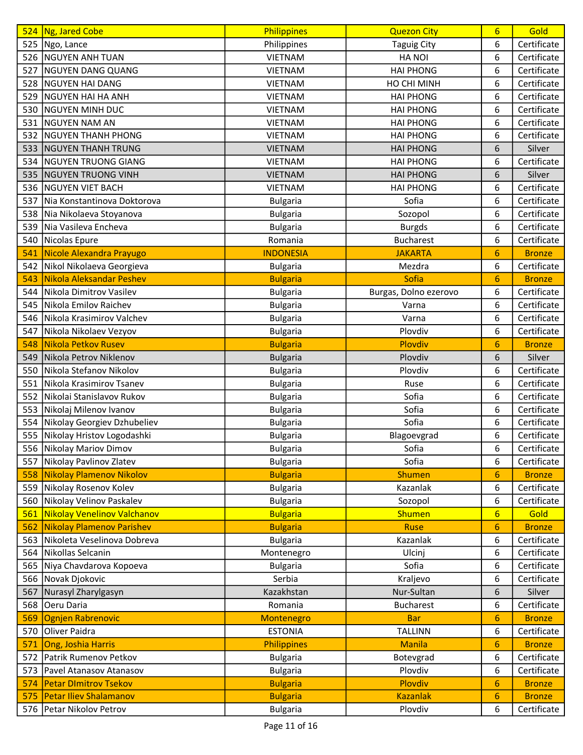| Certificate<br>525 Ngo, Lance<br>6<br>Philippines<br><b>Taguig City</b><br>526 NGUYEN ANH TUAN<br><b>VIETNAM</b><br><b>HANOI</b><br>6<br>Certificate<br>NGUYEN DANG QUANG<br><b>VIETNAM</b><br><b>HAI PHONG</b><br>6<br>Certificate<br>527<br>Certificate<br><b>NGUYEN HAI DANG</b><br>6<br>528<br><b>VIETNAM</b><br>HO CHI MINH<br>Certificate<br>529<br>NGUYEN HAI HA ANH<br><b>VIETNAM</b><br><b>HAI PHONG</b><br>6<br>6<br><b>NGUYEN MINH DUC</b><br><b>HAI PHONG</b><br>Certificate<br>530<br><b>VIETNAM</b><br>6<br>531<br>NGUYEN NAM AN<br><b>VIETNAM</b><br><b>HAI PHONG</b><br>Certificate<br><b>NGUYEN THANH PHONG</b><br><b>HAI PHONG</b><br>6<br>Certificate<br>532<br><b>VIETNAM</b><br>533<br><b>NGUYEN THANH TRUNG</b><br><b>VIETNAM</b><br><b>HAI PHONG</b><br>6<br>Silver<br>Certificate<br>534<br><b>NGUYEN TRUONG GIANG</b><br><b>VIETNAM</b><br><b>HAI PHONG</b><br>6<br>NGUYEN TRUONG VINH<br><b>HAI PHONG</b><br>6<br>Silver<br>535<br><b>VIETNAM</b><br><b>NGUYEN VIET BACH</b><br>Certificate<br>536<br><b>VIETNAM</b><br><b>HAI PHONG</b><br>6<br>Sofia<br>6<br>Nia Konstantinova Doktorova<br>Certificate<br>537<br><b>Bulgaria</b><br>6<br>Certificate<br>538<br>Nia Nikolaeva Stoyanova<br><b>Bulgaria</b><br>Sozopol<br>539<br>Nia Vasileva Encheva<br>6<br>Certificate<br><b>Bulgaria</b><br><b>Burgds</b><br>Nicolas Epure<br>6<br>Certificate<br>540<br>Romania<br><b>Bucharest</b> |
|---------------------------------------------------------------------------------------------------------------------------------------------------------------------------------------------------------------------------------------------------------------------------------------------------------------------------------------------------------------------------------------------------------------------------------------------------------------------------------------------------------------------------------------------------------------------------------------------------------------------------------------------------------------------------------------------------------------------------------------------------------------------------------------------------------------------------------------------------------------------------------------------------------------------------------------------------------------------------------------------------------------------------------------------------------------------------------------------------------------------------------------------------------------------------------------------------------------------------------------------------------------------------------------------------------------------------------------------------------------------------------------------------------------------|
|                                                                                                                                                                                                                                                                                                                                                                                                                                                                                                                                                                                                                                                                                                                                                                                                                                                                                                                                                                                                                                                                                                                                                                                                                                                                                                                                                                                                                     |
|                                                                                                                                                                                                                                                                                                                                                                                                                                                                                                                                                                                                                                                                                                                                                                                                                                                                                                                                                                                                                                                                                                                                                                                                                                                                                                                                                                                                                     |
|                                                                                                                                                                                                                                                                                                                                                                                                                                                                                                                                                                                                                                                                                                                                                                                                                                                                                                                                                                                                                                                                                                                                                                                                                                                                                                                                                                                                                     |
|                                                                                                                                                                                                                                                                                                                                                                                                                                                                                                                                                                                                                                                                                                                                                                                                                                                                                                                                                                                                                                                                                                                                                                                                                                                                                                                                                                                                                     |
|                                                                                                                                                                                                                                                                                                                                                                                                                                                                                                                                                                                                                                                                                                                                                                                                                                                                                                                                                                                                                                                                                                                                                                                                                                                                                                                                                                                                                     |
|                                                                                                                                                                                                                                                                                                                                                                                                                                                                                                                                                                                                                                                                                                                                                                                                                                                                                                                                                                                                                                                                                                                                                                                                                                                                                                                                                                                                                     |
|                                                                                                                                                                                                                                                                                                                                                                                                                                                                                                                                                                                                                                                                                                                                                                                                                                                                                                                                                                                                                                                                                                                                                                                                                                                                                                                                                                                                                     |
|                                                                                                                                                                                                                                                                                                                                                                                                                                                                                                                                                                                                                                                                                                                                                                                                                                                                                                                                                                                                                                                                                                                                                                                                                                                                                                                                                                                                                     |
|                                                                                                                                                                                                                                                                                                                                                                                                                                                                                                                                                                                                                                                                                                                                                                                                                                                                                                                                                                                                                                                                                                                                                                                                                                                                                                                                                                                                                     |
|                                                                                                                                                                                                                                                                                                                                                                                                                                                                                                                                                                                                                                                                                                                                                                                                                                                                                                                                                                                                                                                                                                                                                                                                                                                                                                                                                                                                                     |
|                                                                                                                                                                                                                                                                                                                                                                                                                                                                                                                                                                                                                                                                                                                                                                                                                                                                                                                                                                                                                                                                                                                                                                                                                                                                                                                                                                                                                     |
|                                                                                                                                                                                                                                                                                                                                                                                                                                                                                                                                                                                                                                                                                                                                                                                                                                                                                                                                                                                                                                                                                                                                                                                                                                                                                                                                                                                                                     |
|                                                                                                                                                                                                                                                                                                                                                                                                                                                                                                                                                                                                                                                                                                                                                                                                                                                                                                                                                                                                                                                                                                                                                                                                                                                                                                                                                                                                                     |
|                                                                                                                                                                                                                                                                                                                                                                                                                                                                                                                                                                                                                                                                                                                                                                                                                                                                                                                                                                                                                                                                                                                                                                                                                                                                                                                                                                                                                     |
|                                                                                                                                                                                                                                                                                                                                                                                                                                                                                                                                                                                                                                                                                                                                                                                                                                                                                                                                                                                                                                                                                                                                                                                                                                                                                                                                                                                                                     |
|                                                                                                                                                                                                                                                                                                                                                                                                                                                                                                                                                                                                                                                                                                                                                                                                                                                                                                                                                                                                                                                                                                                                                                                                                                                                                                                                                                                                                     |
| Nicole Alexandra Prayugo<br><b>INDONESIA</b><br><b>JAKARTA</b><br>6<br>541<br><b>Bronze</b>                                                                                                                                                                                                                                                                                                                                                                                                                                                                                                                                                                                                                                                                                                                                                                                                                                                                                                                                                                                                                                                                                                                                                                                                                                                                                                                         |
| Nikol Nikolaeva Georgieva<br>6<br>Certificate<br>542<br>Mezdra<br><b>Bulgaria</b>                                                                                                                                                                                                                                                                                                                                                                                                                                                                                                                                                                                                                                                                                                                                                                                                                                                                                                                                                                                                                                                                                                                                                                                                                                                                                                                                   |
| Nikola Aleksandar Peshev<br>Sofia<br>543<br>6<br><b>Bulgaria</b><br><b>Bronze</b>                                                                                                                                                                                                                                                                                                                                                                                                                                                                                                                                                                                                                                                                                                                                                                                                                                                                                                                                                                                                                                                                                                                                                                                                                                                                                                                                   |
| Nikola Dimitrov Vasilev<br>Burgas, Dolno ezerovo<br>6<br>Certificate<br>544<br><b>Bulgaria</b>                                                                                                                                                                                                                                                                                                                                                                                                                                                                                                                                                                                                                                                                                                                                                                                                                                                                                                                                                                                                                                                                                                                                                                                                                                                                                                                      |
| Certificate<br>545<br>Nikola Emilov Raichev<br>6<br><b>Bulgaria</b><br>Varna                                                                                                                                                                                                                                                                                                                                                                                                                                                                                                                                                                                                                                                                                                                                                                                                                                                                                                                                                                                                                                                                                                                                                                                                                                                                                                                                        |
| 6<br>Certificate<br>Nikola Krasimirov Valchev<br>546<br>Varna<br><b>Bulgaria</b>                                                                                                                                                                                                                                                                                                                                                                                                                                                                                                                                                                                                                                                                                                                                                                                                                                                                                                                                                                                                                                                                                                                                                                                                                                                                                                                                    |
| Nikola Nikolaev Vezyov<br>Plovdiv<br>6<br>Certificate<br>547<br><b>Bulgaria</b>                                                                                                                                                                                                                                                                                                                                                                                                                                                                                                                                                                                                                                                                                                                                                                                                                                                                                                                                                                                                                                                                                                                                                                                                                                                                                                                                     |
| Nikola Petkov Rusev<br>548<br>Plovdiv<br>6<br><b>Bulgaria</b><br><b>Bronze</b>                                                                                                                                                                                                                                                                                                                                                                                                                                                                                                                                                                                                                                                                                                                                                                                                                                                                                                                                                                                                                                                                                                                                                                                                                                                                                                                                      |
| Nikola Petrov Niklenov<br>Plovdiv<br>6<br>549<br>Silver<br><b>Bulgaria</b>                                                                                                                                                                                                                                                                                                                                                                                                                                                                                                                                                                                                                                                                                                                                                                                                                                                                                                                                                                                                                                                                                                                                                                                                                                                                                                                                          |
| Nikola Stefanov Nikolov<br>6<br>Certificate<br>550<br>Plovdiv<br><b>Bulgaria</b>                                                                                                                                                                                                                                                                                                                                                                                                                                                                                                                                                                                                                                                                                                                                                                                                                                                                                                                                                                                                                                                                                                                                                                                                                                                                                                                                    |
| 6<br>551<br>Nikola Krasimirov Tsanev<br>Certificate<br><b>Bulgaria</b><br>Ruse                                                                                                                                                                                                                                                                                                                                                                                                                                                                                                                                                                                                                                                                                                                                                                                                                                                                                                                                                                                                                                                                                                                                                                                                                                                                                                                                      |
| Sofia<br>6<br>552<br>Nikolai Stanislavov Rukov<br>Certificate<br><b>Bulgaria</b>                                                                                                                                                                                                                                                                                                                                                                                                                                                                                                                                                                                                                                                                                                                                                                                                                                                                                                                                                                                                                                                                                                                                                                                                                                                                                                                                    |
| Sofia<br>Certificate<br>553<br>Nikolaj Milenov Ivanov<br>6<br><b>Bulgaria</b>                                                                                                                                                                                                                                                                                                                                                                                                                                                                                                                                                                                                                                                                                                                                                                                                                                                                                                                                                                                                                                                                                                                                                                                                                                                                                                                                       |
| Certificate<br>Nikolay Georgiev Dzhubeliev<br>Sofia<br>554<br>6<br><b>Bulgaria</b>                                                                                                                                                                                                                                                                                                                                                                                                                                                                                                                                                                                                                                                                                                                                                                                                                                                                                                                                                                                                                                                                                                                                                                                                                                                                                                                                  |
| Nikolay Hristov Logodashki<br>6<br>555<br><b>Bulgaria</b><br>Blagoevgrad<br>Certificate                                                                                                                                                                                                                                                                                                                                                                                                                                                                                                                                                                                                                                                                                                                                                                                                                                                                                                                                                                                                                                                                                                                                                                                                                                                                                                                             |
| 6<br>Sofia<br>556 Nikolay Mariov Dimov<br><b>Bulgaria</b><br>Certificate                                                                                                                                                                                                                                                                                                                                                                                                                                                                                                                                                                                                                                                                                                                                                                                                                                                                                                                                                                                                                                                                                                                                                                                                                                                                                                                                            |
| Nikolay Pavlinov Zlatev<br>557<br>Sofia<br>6<br>Certificate<br><b>Bulgaria</b>                                                                                                                                                                                                                                                                                                                                                                                                                                                                                                                                                                                                                                                                                                                                                                                                                                                                                                                                                                                                                                                                                                                                                                                                                                                                                                                                      |
| 558 Nikolay Plamenov Nikolov<br><b>Shumen</b><br><b>Bulgaria</b><br>6<br><b>Bronze</b>                                                                                                                                                                                                                                                                                                                                                                                                                                                                                                                                                                                                                                                                                                                                                                                                                                                                                                                                                                                                                                                                                                                                                                                                                                                                                                                              |
| Nikolay Rosenov Kolev<br>6<br>Kazanlak<br>Certificate<br>559<br><b>Bulgaria</b>                                                                                                                                                                                                                                                                                                                                                                                                                                                                                                                                                                                                                                                                                                                                                                                                                                                                                                                                                                                                                                                                                                                                                                                                                                                                                                                                     |
| Nikolay Velinov Paskalev<br>6<br>Certificate<br>560<br><b>Bulgaria</b><br>Sozopol                                                                                                                                                                                                                                                                                                                                                                                                                                                                                                                                                                                                                                                                                                                                                                                                                                                                                                                                                                                                                                                                                                                                                                                                                                                                                                                                   |
| Nikolay Venelinov Valchanov<br>Gold<br>561<br><b>Bulgaria</b><br><b>Shumen</b><br>6                                                                                                                                                                                                                                                                                                                                                                                                                                                                                                                                                                                                                                                                                                                                                                                                                                                                                                                                                                                                                                                                                                                                                                                                                                                                                                                                 |
| Nikolay Plamenov Parishev<br><b>Bulgaria</b><br><b>Ruse</b><br>6<br><b>Bronze</b><br>562                                                                                                                                                                                                                                                                                                                                                                                                                                                                                                                                                                                                                                                                                                                                                                                                                                                                                                                                                                                                                                                                                                                                                                                                                                                                                                                            |
| Kazanlak<br>6<br>Nikoleta Veselinova Dobreva<br>Certificate<br>563<br><b>Bulgaria</b>                                                                                                                                                                                                                                                                                                                                                                                                                                                                                                                                                                                                                                                                                                                                                                                                                                                                                                                                                                                                                                                                                                                                                                                                                                                                                                                               |
| 564 Nikollas Selcanin<br>Ulcinj<br>6<br>Certificate<br>Montenegro                                                                                                                                                                                                                                                                                                                                                                                                                                                                                                                                                                                                                                                                                                                                                                                                                                                                                                                                                                                                                                                                                                                                                                                                                                                                                                                                                   |
| 565 Niya Chavdarova Kopoeva<br>Sofia<br>Certificate<br><b>Bulgaria</b><br>6                                                                                                                                                                                                                                                                                                                                                                                                                                                                                                                                                                                                                                                                                                                                                                                                                                                                                                                                                                                                                                                                                                                                                                                                                                                                                                                                         |
| 566 Novak Djokovic<br>Serbia<br>6<br>Certificate<br>Kraljevo                                                                                                                                                                                                                                                                                                                                                                                                                                                                                                                                                                                                                                                                                                                                                                                                                                                                                                                                                                                                                                                                                                                                                                                                                                                                                                                                                        |
| Nurasyl Zharylgasyn<br>Kazakhstan<br>Nur-Sultan<br>6<br>Silver<br>567                                                                                                                                                                                                                                                                                                                                                                                                                                                                                                                                                                                                                                                                                                                                                                                                                                                                                                                                                                                                                                                                                                                                                                                                                                                                                                                                               |
| Oeru Daria<br>Certificate<br>568<br>Romania<br><b>Bucharest</b><br>6                                                                                                                                                                                                                                                                                                                                                                                                                                                                                                                                                                                                                                                                                                                                                                                                                                                                                                                                                                                                                                                                                                                                                                                                                                                                                                                                                |
| 569<br>Ognjen Rabrenovic<br>6<br><b>Bar</b><br><b>Bronze</b><br>Montenegro                                                                                                                                                                                                                                                                                                                                                                                                                                                                                                                                                                                                                                                                                                                                                                                                                                                                                                                                                                                                                                                                                                                                                                                                                                                                                                                                          |
| Oliver Paidra<br><b>ESTONIA</b><br><b>TALLINN</b><br>6<br>Certificate<br>570                                                                                                                                                                                                                                                                                                                                                                                                                                                                                                                                                                                                                                                                                                                                                                                                                                                                                                                                                                                                                                                                                                                                                                                                                                                                                                                                        |
| 6<br>571<br>Ong, Joshia Harris<br>Philippines<br><b>Manila</b><br><b>Bronze</b>                                                                                                                                                                                                                                                                                                                                                                                                                                                                                                                                                                                                                                                                                                                                                                                                                                                                                                                                                                                                                                                                                                                                                                                                                                                                                                                                     |
| Botevgrad<br>Certificate<br>Patrik Rumenov Petkov<br>6<br>572<br><b>Bulgaria</b>                                                                                                                                                                                                                                                                                                                                                                                                                                                                                                                                                                                                                                                                                                                                                                                                                                                                                                                                                                                                                                                                                                                                                                                                                                                                                                                                    |
| Plovdiv<br>6<br>Pavel Atanasov Atanasov<br>573<br><b>Bulgaria</b><br>Certificate                                                                                                                                                                                                                                                                                                                                                                                                                                                                                                                                                                                                                                                                                                                                                                                                                                                                                                                                                                                                                                                                                                                                                                                                                                                                                                                                    |
| Plovdiv<br><b>Petar Dimitrov Tsekov</b><br><b>Bulgaria</b><br>6<br><b>Bronze</b><br>574                                                                                                                                                                                                                                                                                                                                                                                                                                                                                                                                                                                                                                                                                                                                                                                                                                                                                                                                                                                                                                                                                                                                                                                                                                                                                                                             |
| Petar Iliev Shalamanov<br><b>Kazanlak</b><br>6<br>575<br><b>Bulgaria</b><br><b>Bronze</b>                                                                                                                                                                                                                                                                                                                                                                                                                                                                                                                                                                                                                                                                                                                                                                                                                                                                                                                                                                                                                                                                                                                                                                                                                                                                                                                           |
| 576   Petar Nikolov Petrov<br>Plovdiv<br>6<br><b>Bulgaria</b><br>Certificate                                                                                                                                                                                                                                                                                                                                                                                                                                                                                                                                                                                                                                                                                                                                                                                                                                                                                                                                                                                                                                                                                                                                                                                                                                                                                                                                        |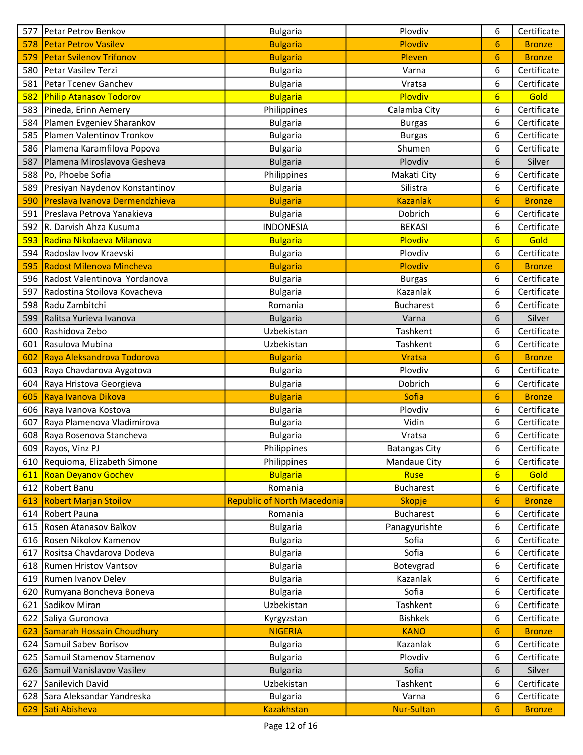| <b>Petar Petrov Vasilev</b><br><b>Bulgaria</b><br>Plovdiv<br>578<br>6<br><b>Bronze</b><br><b>Petar Svilenov Trifonov</b><br>579<br>Pleven<br>6<br><b>Bulgaria</b><br><b>Bronze</b><br>6<br>Petar Vasilev Terzi<br>Certificate<br>580<br>Varna<br><b>Bulgaria</b><br>6<br>Petar Tcenev Ganchev<br>Certificate<br>581<br>Vratsa<br><b>Bulgaria</b><br>Plovdiv<br>Gold<br>582<br><b>Philip Atanasov Todorov</b><br>6<br><b>Bulgaria</b><br>Certificate<br>583 Pineda, Erinn Aemery<br>6<br>Philippines<br>Calamba City<br>Plamen Evgeniev Sharankov<br>6<br>Certificate<br>584<br><b>Bulgaria</b><br><b>Burgas</b><br>6<br>Plamen Valentinov Tronkov<br>Certificate<br>585<br><b>Bulgaria</b><br><b>Burgas</b><br>586 Plamena Karamfilova Popova<br>Certificate<br>6<br><b>Bulgaria</b><br>Shumen<br>Plovdiv<br>Plamena Miroslavova Gesheva<br>6<br>587<br><b>Bulgaria</b><br>Silver<br>Po, Phoebe Sofia<br>6<br>Certificate<br>588<br>Philippines<br>Makati City<br>589 Presiyan Naydenov Konstantinov<br>Silistra<br>6<br>Certificate<br><b>Bulgaria</b><br>Preslava Ivanova Dermendzhieva<br>590<br><b>Kazanlak</b><br>6<br><b>Bulgaria</b><br><b>Bronze</b><br>6<br>Preslava Petrova Yanakieva<br>Dobrich<br>Certificate<br>591<br><b>Bulgaria</b><br>592 R. Darvish Ahza Kusuma<br>6<br>Certificate<br><b>INDONESIA</b><br><b>BEKASI</b><br>593 Radina Nikolaeva Milanova<br>Plovdiv<br>$6\overline{6}$<br>Gold<br><b>Bulgaria</b><br>594 Radoslav Ivov Kraevski<br>Plovdiv<br>6<br>Certificate<br><b>Bulgaria</b><br>Radost Milenova Mincheva<br>Plovdiv<br>6<br>595<br><b>Bulgaria</b><br><b>Bronze</b><br>596 Radost Valentinova Yordanova<br>6<br>Certificate<br><b>Bulgaria</b><br><b>Burgas</b><br>Kazanlak<br>Certificate<br>597<br>Radostina Stoilova Kovacheva<br>6<br><b>Bulgaria</b><br>6<br>Radu Zambitchi<br><b>Bucharest</b><br>Certificate<br>598<br>Romania<br>Silver<br>599<br>Ralitsa Yurieva Ivanova<br>Varna<br>6<br><b>Bulgaria</b><br>Tashkent<br>Certificate<br>Rashidova Zebo<br>Uzbekistan<br>600<br>6<br>Rasulova Mubina<br>Uzbekistan<br>Tashkent<br>6<br>Certificate<br>601<br>Raya Aleksandrova Todorova<br>6<br><b>Vratsa</b><br>602<br><b>Bulgaria</b><br><b>Bronze</b><br>Plovdiv<br>Certificate<br>603 Raya Chavdarova Aygatova<br>6<br><b>Bulgaria</b><br>6<br>Certificate<br>604 Raya Hristova Georgieva<br>Dobrich<br><b>Bulgaria</b><br><b>Sofia</b><br>605<br>Raya Ivanova Dikova<br>6<br><b>Bronze</b><br><b>Bulgaria</b><br>606 Raya Ivanova Kostova<br>Plovdiv<br>6<br>Certificate<br><b>Bulgaria</b><br>Vidin<br>Certificate<br>607<br>Raya Plamenova Vladimirova<br>6<br><b>Bulgaria</b><br>608 Raya Rosenova Stancheva<br>Certificate<br><b>Bulgaria</b><br>Vratsa<br>6<br>609 Rayos, Vinz PJ<br>Philippines<br>6<br>Certificate<br><b>Batangas City</b><br>610 Requioma, Elizabeth Simone<br>6<br>Mandaue City<br>Certificate<br>Philippines<br>Gold<br><b>Roan Deyanov Gochev</b><br><b>Bulgaria</b><br>Ruse<br>$6\overline{6}$<br>611<br>612 Robert Banu<br>Romania<br><b>Bucharest</b><br>6<br>Certificate<br><b>Robert Marjan Stoilov</b><br><b>Republic of North Macedonia</b><br>Skopje<br>6<br>613<br><b>Bronze</b><br>Certificate<br>614   Robert Pauna<br>Romania<br><b>Bucharest</b><br>6<br>615 Rosen Atanasov Baĭkov<br>Panagyurishte<br>6<br>Certificate<br><b>Bulgaria</b><br>616 Rosen Nikolov Kamenov<br>Sofia<br>6<br>Certificate<br><b>Bulgaria</b><br>Rositsa Chavdarova Dodeva<br>Sofia<br>Certificate<br>6<br>617<br><b>Bulgaria</b><br>Botevgrad<br>Certificate<br>618   Rumen Hristov Vantsov<br><b>Bulgaria</b><br>6<br>619 Rumen Ivanov Delev<br>Kazanlak<br>6<br>Certificate<br><b>Bulgaria</b><br>Sofia<br>6<br>Rumyana Boncheva Boneva<br>Certificate<br>620<br><b>Bulgaria</b><br>Certificate<br>621 Sadikov Miran<br>Uzbekistan<br>Tashkent<br>6<br><b>Bishkek</b><br>Certificate<br>Saliya Guronova<br>6<br>622<br>Kyrgyzstan<br>Samarah Hossain Choudhury<br><b>NIGERIA</b><br><b>KANO</b><br>6<br>623<br><b>Bronze</b><br>Samuil Sabev Borisov<br>Kazanlak<br>6<br>Certificate<br>624<br><b>Bulgaria</b><br>625 Samuil Stamenov Stamenov<br>Plovdiv<br>Certificate<br><b>Bulgaria</b><br>6<br>Sofia<br>626 Samuil Vanislavov Vasilev<br><b>Bulgaria</b><br>6<br>Silver<br>Sanilevich David<br>Tashkent<br>Uzbekistan<br>6<br>Certificate<br>627<br>628 Sara Aleksandar Yandreska<br>Varna<br>6<br>Certificate<br><b>Bulgaria</b><br><b>Nur-Sultan</b><br>629 Sati Abisheva<br><b>Kazakhstan</b><br>6<br><b>Bronze</b> | 577 | Petar Petrov Benkov | <b>Bulgaria</b> | Plovdiv | 6 | Certificate |
|-------------------------------------------------------------------------------------------------------------------------------------------------------------------------------------------------------------------------------------------------------------------------------------------------------------------------------------------------------------------------------------------------------------------------------------------------------------------------------------------------------------------------------------------------------------------------------------------------------------------------------------------------------------------------------------------------------------------------------------------------------------------------------------------------------------------------------------------------------------------------------------------------------------------------------------------------------------------------------------------------------------------------------------------------------------------------------------------------------------------------------------------------------------------------------------------------------------------------------------------------------------------------------------------------------------------------------------------------------------------------------------------------------------------------------------------------------------------------------------------------------------------------------------------------------------------------------------------------------------------------------------------------------------------------------------------------------------------------------------------------------------------------------------------------------------------------------------------------------------------------------------------------------------------------------------------------------------------------------------------------------------------------------------------------------------------------------------------------------------------------------------------------------------------------------------------------------------------------------------------------------------------------------------------------------------------------------------------------------------------------------------------------------------------------------------------------------------------------------------------------------------------------------------------------------------------------------------------------------------------------------------------------------------------------------------------------------------------------------------------------------------------------------------------------------------------------------------------------------------------------------------------------------------------------------------------------------------------------------------------------------------------------------------------------------------------------------------------------------------------------------------------------------------------------------------------------------------------------------------------------------------------------------------------------------------------------------------------------------------------------------------------------------------------------------------------------------------------------------------------------------------------------------------------------------------------------------------------------------------------------------------------------------------------------------------------------------------------------------------------------------------------------------------------------------------------------------------------------------------------------------------------------------------------------------------------------------------------------------------------------------------------------------------------------------------------------------------------------------------------------------------------------------------------------------------------------------------------------------------------------------------------------------------------------------------------------------------------------------------------------------------------------------------------------------------------------------------------------------------------------------|-----|---------------------|-----------------|---------|---|-------------|
|                                                                                                                                                                                                                                                                                                                                                                                                                                                                                                                                                                                                                                                                                                                                                                                                                                                                                                                                                                                                                                                                                                                                                                                                                                                                                                                                                                                                                                                                                                                                                                                                                                                                                                                                                                                                                                                                                                                                                                                                                                                                                                                                                                                                                                                                                                                                                                                                                                                                                                                                                                                                                                                                                                                                                                                                                                                                                                                                                                                                                                                                                                                                                                                                                                                                                                                                                                                                                                                                                                                                                                                                                                                                                                                                                                                                                                                                                                                                                                                                                                                                                                                                                                                                                                                                                                                                                                                                                                                                                                       |     |                     |                 |         |   |             |
|                                                                                                                                                                                                                                                                                                                                                                                                                                                                                                                                                                                                                                                                                                                                                                                                                                                                                                                                                                                                                                                                                                                                                                                                                                                                                                                                                                                                                                                                                                                                                                                                                                                                                                                                                                                                                                                                                                                                                                                                                                                                                                                                                                                                                                                                                                                                                                                                                                                                                                                                                                                                                                                                                                                                                                                                                                                                                                                                                                                                                                                                                                                                                                                                                                                                                                                                                                                                                                                                                                                                                                                                                                                                                                                                                                                                                                                                                                                                                                                                                                                                                                                                                                                                                                                                                                                                                                                                                                                                                                       |     |                     |                 |         |   |             |
|                                                                                                                                                                                                                                                                                                                                                                                                                                                                                                                                                                                                                                                                                                                                                                                                                                                                                                                                                                                                                                                                                                                                                                                                                                                                                                                                                                                                                                                                                                                                                                                                                                                                                                                                                                                                                                                                                                                                                                                                                                                                                                                                                                                                                                                                                                                                                                                                                                                                                                                                                                                                                                                                                                                                                                                                                                                                                                                                                                                                                                                                                                                                                                                                                                                                                                                                                                                                                                                                                                                                                                                                                                                                                                                                                                                                                                                                                                                                                                                                                                                                                                                                                                                                                                                                                                                                                                                                                                                                                                       |     |                     |                 |         |   |             |
|                                                                                                                                                                                                                                                                                                                                                                                                                                                                                                                                                                                                                                                                                                                                                                                                                                                                                                                                                                                                                                                                                                                                                                                                                                                                                                                                                                                                                                                                                                                                                                                                                                                                                                                                                                                                                                                                                                                                                                                                                                                                                                                                                                                                                                                                                                                                                                                                                                                                                                                                                                                                                                                                                                                                                                                                                                                                                                                                                                                                                                                                                                                                                                                                                                                                                                                                                                                                                                                                                                                                                                                                                                                                                                                                                                                                                                                                                                                                                                                                                                                                                                                                                                                                                                                                                                                                                                                                                                                                                                       |     |                     |                 |         |   |             |
|                                                                                                                                                                                                                                                                                                                                                                                                                                                                                                                                                                                                                                                                                                                                                                                                                                                                                                                                                                                                                                                                                                                                                                                                                                                                                                                                                                                                                                                                                                                                                                                                                                                                                                                                                                                                                                                                                                                                                                                                                                                                                                                                                                                                                                                                                                                                                                                                                                                                                                                                                                                                                                                                                                                                                                                                                                                                                                                                                                                                                                                                                                                                                                                                                                                                                                                                                                                                                                                                                                                                                                                                                                                                                                                                                                                                                                                                                                                                                                                                                                                                                                                                                                                                                                                                                                                                                                                                                                                                                                       |     |                     |                 |         |   |             |
|                                                                                                                                                                                                                                                                                                                                                                                                                                                                                                                                                                                                                                                                                                                                                                                                                                                                                                                                                                                                                                                                                                                                                                                                                                                                                                                                                                                                                                                                                                                                                                                                                                                                                                                                                                                                                                                                                                                                                                                                                                                                                                                                                                                                                                                                                                                                                                                                                                                                                                                                                                                                                                                                                                                                                                                                                                                                                                                                                                                                                                                                                                                                                                                                                                                                                                                                                                                                                                                                                                                                                                                                                                                                                                                                                                                                                                                                                                                                                                                                                                                                                                                                                                                                                                                                                                                                                                                                                                                                                                       |     |                     |                 |         |   |             |
|                                                                                                                                                                                                                                                                                                                                                                                                                                                                                                                                                                                                                                                                                                                                                                                                                                                                                                                                                                                                                                                                                                                                                                                                                                                                                                                                                                                                                                                                                                                                                                                                                                                                                                                                                                                                                                                                                                                                                                                                                                                                                                                                                                                                                                                                                                                                                                                                                                                                                                                                                                                                                                                                                                                                                                                                                                                                                                                                                                                                                                                                                                                                                                                                                                                                                                                                                                                                                                                                                                                                                                                                                                                                                                                                                                                                                                                                                                                                                                                                                                                                                                                                                                                                                                                                                                                                                                                                                                                                                                       |     |                     |                 |         |   |             |
|                                                                                                                                                                                                                                                                                                                                                                                                                                                                                                                                                                                                                                                                                                                                                                                                                                                                                                                                                                                                                                                                                                                                                                                                                                                                                                                                                                                                                                                                                                                                                                                                                                                                                                                                                                                                                                                                                                                                                                                                                                                                                                                                                                                                                                                                                                                                                                                                                                                                                                                                                                                                                                                                                                                                                                                                                                                                                                                                                                                                                                                                                                                                                                                                                                                                                                                                                                                                                                                                                                                                                                                                                                                                                                                                                                                                                                                                                                                                                                                                                                                                                                                                                                                                                                                                                                                                                                                                                                                                                                       |     |                     |                 |         |   |             |
|                                                                                                                                                                                                                                                                                                                                                                                                                                                                                                                                                                                                                                                                                                                                                                                                                                                                                                                                                                                                                                                                                                                                                                                                                                                                                                                                                                                                                                                                                                                                                                                                                                                                                                                                                                                                                                                                                                                                                                                                                                                                                                                                                                                                                                                                                                                                                                                                                                                                                                                                                                                                                                                                                                                                                                                                                                                                                                                                                                                                                                                                                                                                                                                                                                                                                                                                                                                                                                                                                                                                                                                                                                                                                                                                                                                                                                                                                                                                                                                                                                                                                                                                                                                                                                                                                                                                                                                                                                                                                                       |     |                     |                 |         |   |             |
|                                                                                                                                                                                                                                                                                                                                                                                                                                                                                                                                                                                                                                                                                                                                                                                                                                                                                                                                                                                                                                                                                                                                                                                                                                                                                                                                                                                                                                                                                                                                                                                                                                                                                                                                                                                                                                                                                                                                                                                                                                                                                                                                                                                                                                                                                                                                                                                                                                                                                                                                                                                                                                                                                                                                                                                                                                                                                                                                                                                                                                                                                                                                                                                                                                                                                                                                                                                                                                                                                                                                                                                                                                                                                                                                                                                                                                                                                                                                                                                                                                                                                                                                                                                                                                                                                                                                                                                                                                                                                                       |     |                     |                 |         |   |             |
|                                                                                                                                                                                                                                                                                                                                                                                                                                                                                                                                                                                                                                                                                                                                                                                                                                                                                                                                                                                                                                                                                                                                                                                                                                                                                                                                                                                                                                                                                                                                                                                                                                                                                                                                                                                                                                                                                                                                                                                                                                                                                                                                                                                                                                                                                                                                                                                                                                                                                                                                                                                                                                                                                                                                                                                                                                                                                                                                                                                                                                                                                                                                                                                                                                                                                                                                                                                                                                                                                                                                                                                                                                                                                                                                                                                                                                                                                                                                                                                                                                                                                                                                                                                                                                                                                                                                                                                                                                                                                                       |     |                     |                 |         |   |             |
|                                                                                                                                                                                                                                                                                                                                                                                                                                                                                                                                                                                                                                                                                                                                                                                                                                                                                                                                                                                                                                                                                                                                                                                                                                                                                                                                                                                                                                                                                                                                                                                                                                                                                                                                                                                                                                                                                                                                                                                                                                                                                                                                                                                                                                                                                                                                                                                                                                                                                                                                                                                                                                                                                                                                                                                                                                                                                                                                                                                                                                                                                                                                                                                                                                                                                                                                                                                                                                                                                                                                                                                                                                                                                                                                                                                                                                                                                                                                                                                                                                                                                                                                                                                                                                                                                                                                                                                                                                                                                                       |     |                     |                 |         |   |             |
|                                                                                                                                                                                                                                                                                                                                                                                                                                                                                                                                                                                                                                                                                                                                                                                                                                                                                                                                                                                                                                                                                                                                                                                                                                                                                                                                                                                                                                                                                                                                                                                                                                                                                                                                                                                                                                                                                                                                                                                                                                                                                                                                                                                                                                                                                                                                                                                                                                                                                                                                                                                                                                                                                                                                                                                                                                                                                                                                                                                                                                                                                                                                                                                                                                                                                                                                                                                                                                                                                                                                                                                                                                                                                                                                                                                                                                                                                                                                                                                                                                                                                                                                                                                                                                                                                                                                                                                                                                                                                                       |     |                     |                 |         |   |             |
|                                                                                                                                                                                                                                                                                                                                                                                                                                                                                                                                                                                                                                                                                                                                                                                                                                                                                                                                                                                                                                                                                                                                                                                                                                                                                                                                                                                                                                                                                                                                                                                                                                                                                                                                                                                                                                                                                                                                                                                                                                                                                                                                                                                                                                                                                                                                                                                                                                                                                                                                                                                                                                                                                                                                                                                                                                                                                                                                                                                                                                                                                                                                                                                                                                                                                                                                                                                                                                                                                                                                                                                                                                                                                                                                                                                                                                                                                                                                                                                                                                                                                                                                                                                                                                                                                                                                                                                                                                                                                                       |     |                     |                 |         |   |             |
|                                                                                                                                                                                                                                                                                                                                                                                                                                                                                                                                                                                                                                                                                                                                                                                                                                                                                                                                                                                                                                                                                                                                                                                                                                                                                                                                                                                                                                                                                                                                                                                                                                                                                                                                                                                                                                                                                                                                                                                                                                                                                                                                                                                                                                                                                                                                                                                                                                                                                                                                                                                                                                                                                                                                                                                                                                                                                                                                                                                                                                                                                                                                                                                                                                                                                                                                                                                                                                                                                                                                                                                                                                                                                                                                                                                                                                                                                                                                                                                                                                                                                                                                                                                                                                                                                                                                                                                                                                                                                                       |     |                     |                 |         |   |             |
|                                                                                                                                                                                                                                                                                                                                                                                                                                                                                                                                                                                                                                                                                                                                                                                                                                                                                                                                                                                                                                                                                                                                                                                                                                                                                                                                                                                                                                                                                                                                                                                                                                                                                                                                                                                                                                                                                                                                                                                                                                                                                                                                                                                                                                                                                                                                                                                                                                                                                                                                                                                                                                                                                                                                                                                                                                                                                                                                                                                                                                                                                                                                                                                                                                                                                                                                                                                                                                                                                                                                                                                                                                                                                                                                                                                                                                                                                                                                                                                                                                                                                                                                                                                                                                                                                                                                                                                                                                                                                                       |     |                     |                 |         |   |             |
|                                                                                                                                                                                                                                                                                                                                                                                                                                                                                                                                                                                                                                                                                                                                                                                                                                                                                                                                                                                                                                                                                                                                                                                                                                                                                                                                                                                                                                                                                                                                                                                                                                                                                                                                                                                                                                                                                                                                                                                                                                                                                                                                                                                                                                                                                                                                                                                                                                                                                                                                                                                                                                                                                                                                                                                                                                                                                                                                                                                                                                                                                                                                                                                                                                                                                                                                                                                                                                                                                                                                                                                                                                                                                                                                                                                                                                                                                                                                                                                                                                                                                                                                                                                                                                                                                                                                                                                                                                                                                                       |     |                     |                 |         |   |             |
|                                                                                                                                                                                                                                                                                                                                                                                                                                                                                                                                                                                                                                                                                                                                                                                                                                                                                                                                                                                                                                                                                                                                                                                                                                                                                                                                                                                                                                                                                                                                                                                                                                                                                                                                                                                                                                                                                                                                                                                                                                                                                                                                                                                                                                                                                                                                                                                                                                                                                                                                                                                                                                                                                                                                                                                                                                                                                                                                                                                                                                                                                                                                                                                                                                                                                                                                                                                                                                                                                                                                                                                                                                                                                                                                                                                                                                                                                                                                                                                                                                                                                                                                                                                                                                                                                                                                                                                                                                                                                                       |     |                     |                 |         |   |             |
|                                                                                                                                                                                                                                                                                                                                                                                                                                                                                                                                                                                                                                                                                                                                                                                                                                                                                                                                                                                                                                                                                                                                                                                                                                                                                                                                                                                                                                                                                                                                                                                                                                                                                                                                                                                                                                                                                                                                                                                                                                                                                                                                                                                                                                                                                                                                                                                                                                                                                                                                                                                                                                                                                                                                                                                                                                                                                                                                                                                                                                                                                                                                                                                                                                                                                                                                                                                                                                                                                                                                                                                                                                                                                                                                                                                                                                                                                                                                                                                                                                                                                                                                                                                                                                                                                                                                                                                                                                                                                                       |     |                     |                 |         |   |             |
|                                                                                                                                                                                                                                                                                                                                                                                                                                                                                                                                                                                                                                                                                                                                                                                                                                                                                                                                                                                                                                                                                                                                                                                                                                                                                                                                                                                                                                                                                                                                                                                                                                                                                                                                                                                                                                                                                                                                                                                                                                                                                                                                                                                                                                                                                                                                                                                                                                                                                                                                                                                                                                                                                                                                                                                                                                                                                                                                                                                                                                                                                                                                                                                                                                                                                                                                                                                                                                                                                                                                                                                                                                                                                                                                                                                                                                                                                                                                                                                                                                                                                                                                                                                                                                                                                                                                                                                                                                                                                                       |     |                     |                 |         |   |             |
|                                                                                                                                                                                                                                                                                                                                                                                                                                                                                                                                                                                                                                                                                                                                                                                                                                                                                                                                                                                                                                                                                                                                                                                                                                                                                                                                                                                                                                                                                                                                                                                                                                                                                                                                                                                                                                                                                                                                                                                                                                                                                                                                                                                                                                                                                                                                                                                                                                                                                                                                                                                                                                                                                                                                                                                                                                                                                                                                                                                                                                                                                                                                                                                                                                                                                                                                                                                                                                                                                                                                                                                                                                                                                                                                                                                                                                                                                                                                                                                                                                                                                                                                                                                                                                                                                                                                                                                                                                                                                                       |     |                     |                 |         |   |             |
|                                                                                                                                                                                                                                                                                                                                                                                                                                                                                                                                                                                                                                                                                                                                                                                                                                                                                                                                                                                                                                                                                                                                                                                                                                                                                                                                                                                                                                                                                                                                                                                                                                                                                                                                                                                                                                                                                                                                                                                                                                                                                                                                                                                                                                                                                                                                                                                                                                                                                                                                                                                                                                                                                                                                                                                                                                                                                                                                                                                                                                                                                                                                                                                                                                                                                                                                                                                                                                                                                                                                                                                                                                                                                                                                                                                                                                                                                                                                                                                                                                                                                                                                                                                                                                                                                                                                                                                                                                                                                                       |     |                     |                 |         |   |             |
|                                                                                                                                                                                                                                                                                                                                                                                                                                                                                                                                                                                                                                                                                                                                                                                                                                                                                                                                                                                                                                                                                                                                                                                                                                                                                                                                                                                                                                                                                                                                                                                                                                                                                                                                                                                                                                                                                                                                                                                                                                                                                                                                                                                                                                                                                                                                                                                                                                                                                                                                                                                                                                                                                                                                                                                                                                                                                                                                                                                                                                                                                                                                                                                                                                                                                                                                                                                                                                                                                                                                                                                                                                                                                                                                                                                                                                                                                                                                                                                                                                                                                                                                                                                                                                                                                                                                                                                                                                                                                                       |     |                     |                 |         |   |             |
|                                                                                                                                                                                                                                                                                                                                                                                                                                                                                                                                                                                                                                                                                                                                                                                                                                                                                                                                                                                                                                                                                                                                                                                                                                                                                                                                                                                                                                                                                                                                                                                                                                                                                                                                                                                                                                                                                                                                                                                                                                                                                                                                                                                                                                                                                                                                                                                                                                                                                                                                                                                                                                                                                                                                                                                                                                                                                                                                                                                                                                                                                                                                                                                                                                                                                                                                                                                                                                                                                                                                                                                                                                                                                                                                                                                                                                                                                                                                                                                                                                                                                                                                                                                                                                                                                                                                                                                                                                                                                                       |     |                     |                 |         |   |             |
|                                                                                                                                                                                                                                                                                                                                                                                                                                                                                                                                                                                                                                                                                                                                                                                                                                                                                                                                                                                                                                                                                                                                                                                                                                                                                                                                                                                                                                                                                                                                                                                                                                                                                                                                                                                                                                                                                                                                                                                                                                                                                                                                                                                                                                                                                                                                                                                                                                                                                                                                                                                                                                                                                                                                                                                                                                                                                                                                                                                                                                                                                                                                                                                                                                                                                                                                                                                                                                                                                                                                                                                                                                                                                                                                                                                                                                                                                                                                                                                                                                                                                                                                                                                                                                                                                                                                                                                                                                                                                                       |     |                     |                 |         |   |             |
|                                                                                                                                                                                                                                                                                                                                                                                                                                                                                                                                                                                                                                                                                                                                                                                                                                                                                                                                                                                                                                                                                                                                                                                                                                                                                                                                                                                                                                                                                                                                                                                                                                                                                                                                                                                                                                                                                                                                                                                                                                                                                                                                                                                                                                                                                                                                                                                                                                                                                                                                                                                                                                                                                                                                                                                                                                                                                                                                                                                                                                                                                                                                                                                                                                                                                                                                                                                                                                                                                                                                                                                                                                                                                                                                                                                                                                                                                                                                                                                                                                                                                                                                                                                                                                                                                                                                                                                                                                                                                                       |     |                     |                 |         |   |             |
|                                                                                                                                                                                                                                                                                                                                                                                                                                                                                                                                                                                                                                                                                                                                                                                                                                                                                                                                                                                                                                                                                                                                                                                                                                                                                                                                                                                                                                                                                                                                                                                                                                                                                                                                                                                                                                                                                                                                                                                                                                                                                                                                                                                                                                                                                                                                                                                                                                                                                                                                                                                                                                                                                                                                                                                                                                                                                                                                                                                                                                                                                                                                                                                                                                                                                                                                                                                                                                                                                                                                                                                                                                                                                                                                                                                                                                                                                                                                                                                                                                                                                                                                                                                                                                                                                                                                                                                                                                                                                                       |     |                     |                 |         |   |             |
|                                                                                                                                                                                                                                                                                                                                                                                                                                                                                                                                                                                                                                                                                                                                                                                                                                                                                                                                                                                                                                                                                                                                                                                                                                                                                                                                                                                                                                                                                                                                                                                                                                                                                                                                                                                                                                                                                                                                                                                                                                                                                                                                                                                                                                                                                                                                                                                                                                                                                                                                                                                                                                                                                                                                                                                                                                                                                                                                                                                                                                                                                                                                                                                                                                                                                                                                                                                                                                                                                                                                                                                                                                                                                                                                                                                                                                                                                                                                                                                                                                                                                                                                                                                                                                                                                                                                                                                                                                                                                                       |     |                     |                 |         |   |             |
|                                                                                                                                                                                                                                                                                                                                                                                                                                                                                                                                                                                                                                                                                                                                                                                                                                                                                                                                                                                                                                                                                                                                                                                                                                                                                                                                                                                                                                                                                                                                                                                                                                                                                                                                                                                                                                                                                                                                                                                                                                                                                                                                                                                                                                                                                                                                                                                                                                                                                                                                                                                                                                                                                                                                                                                                                                                                                                                                                                                                                                                                                                                                                                                                                                                                                                                                                                                                                                                                                                                                                                                                                                                                                                                                                                                                                                                                                                                                                                                                                                                                                                                                                                                                                                                                                                                                                                                                                                                                                                       |     |                     |                 |         |   |             |
|                                                                                                                                                                                                                                                                                                                                                                                                                                                                                                                                                                                                                                                                                                                                                                                                                                                                                                                                                                                                                                                                                                                                                                                                                                                                                                                                                                                                                                                                                                                                                                                                                                                                                                                                                                                                                                                                                                                                                                                                                                                                                                                                                                                                                                                                                                                                                                                                                                                                                                                                                                                                                                                                                                                                                                                                                                                                                                                                                                                                                                                                                                                                                                                                                                                                                                                                                                                                                                                                                                                                                                                                                                                                                                                                                                                                                                                                                                                                                                                                                                                                                                                                                                                                                                                                                                                                                                                                                                                                                                       |     |                     |                 |         |   |             |
|                                                                                                                                                                                                                                                                                                                                                                                                                                                                                                                                                                                                                                                                                                                                                                                                                                                                                                                                                                                                                                                                                                                                                                                                                                                                                                                                                                                                                                                                                                                                                                                                                                                                                                                                                                                                                                                                                                                                                                                                                                                                                                                                                                                                                                                                                                                                                                                                                                                                                                                                                                                                                                                                                                                                                                                                                                                                                                                                                                                                                                                                                                                                                                                                                                                                                                                                                                                                                                                                                                                                                                                                                                                                                                                                                                                                                                                                                                                                                                                                                                                                                                                                                                                                                                                                                                                                                                                                                                                                                                       |     |                     |                 |         |   |             |
|                                                                                                                                                                                                                                                                                                                                                                                                                                                                                                                                                                                                                                                                                                                                                                                                                                                                                                                                                                                                                                                                                                                                                                                                                                                                                                                                                                                                                                                                                                                                                                                                                                                                                                                                                                                                                                                                                                                                                                                                                                                                                                                                                                                                                                                                                                                                                                                                                                                                                                                                                                                                                                                                                                                                                                                                                                                                                                                                                                                                                                                                                                                                                                                                                                                                                                                                                                                                                                                                                                                                                                                                                                                                                                                                                                                                                                                                                                                                                                                                                                                                                                                                                                                                                                                                                                                                                                                                                                                                                                       |     |                     |                 |         |   |             |
|                                                                                                                                                                                                                                                                                                                                                                                                                                                                                                                                                                                                                                                                                                                                                                                                                                                                                                                                                                                                                                                                                                                                                                                                                                                                                                                                                                                                                                                                                                                                                                                                                                                                                                                                                                                                                                                                                                                                                                                                                                                                                                                                                                                                                                                                                                                                                                                                                                                                                                                                                                                                                                                                                                                                                                                                                                                                                                                                                                                                                                                                                                                                                                                                                                                                                                                                                                                                                                                                                                                                                                                                                                                                                                                                                                                                                                                                                                                                                                                                                                                                                                                                                                                                                                                                                                                                                                                                                                                                                                       |     |                     |                 |         |   |             |
|                                                                                                                                                                                                                                                                                                                                                                                                                                                                                                                                                                                                                                                                                                                                                                                                                                                                                                                                                                                                                                                                                                                                                                                                                                                                                                                                                                                                                                                                                                                                                                                                                                                                                                                                                                                                                                                                                                                                                                                                                                                                                                                                                                                                                                                                                                                                                                                                                                                                                                                                                                                                                                                                                                                                                                                                                                                                                                                                                                                                                                                                                                                                                                                                                                                                                                                                                                                                                                                                                                                                                                                                                                                                                                                                                                                                                                                                                                                                                                                                                                                                                                                                                                                                                                                                                                                                                                                                                                                                                                       |     |                     |                 |         |   |             |
|                                                                                                                                                                                                                                                                                                                                                                                                                                                                                                                                                                                                                                                                                                                                                                                                                                                                                                                                                                                                                                                                                                                                                                                                                                                                                                                                                                                                                                                                                                                                                                                                                                                                                                                                                                                                                                                                                                                                                                                                                                                                                                                                                                                                                                                                                                                                                                                                                                                                                                                                                                                                                                                                                                                                                                                                                                                                                                                                                                                                                                                                                                                                                                                                                                                                                                                                                                                                                                                                                                                                                                                                                                                                                                                                                                                                                                                                                                                                                                                                                                                                                                                                                                                                                                                                                                                                                                                                                                                                                                       |     |                     |                 |         |   |             |
|                                                                                                                                                                                                                                                                                                                                                                                                                                                                                                                                                                                                                                                                                                                                                                                                                                                                                                                                                                                                                                                                                                                                                                                                                                                                                                                                                                                                                                                                                                                                                                                                                                                                                                                                                                                                                                                                                                                                                                                                                                                                                                                                                                                                                                                                                                                                                                                                                                                                                                                                                                                                                                                                                                                                                                                                                                                                                                                                                                                                                                                                                                                                                                                                                                                                                                                                                                                                                                                                                                                                                                                                                                                                                                                                                                                                                                                                                                                                                                                                                                                                                                                                                                                                                                                                                                                                                                                                                                                                                                       |     |                     |                 |         |   |             |
|                                                                                                                                                                                                                                                                                                                                                                                                                                                                                                                                                                                                                                                                                                                                                                                                                                                                                                                                                                                                                                                                                                                                                                                                                                                                                                                                                                                                                                                                                                                                                                                                                                                                                                                                                                                                                                                                                                                                                                                                                                                                                                                                                                                                                                                                                                                                                                                                                                                                                                                                                                                                                                                                                                                                                                                                                                                                                                                                                                                                                                                                                                                                                                                                                                                                                                                                                                                                                                                                                                                                                                                                                                                                                                                                                                                                                                                                                                                                                                                                                                                                                                                                                                                                                                                                                                                                                                                                                                                                                                       |     |                     |                 |         |   |             |
|                                                                                                                                                                                                                                                                                                                                                                                                                                                                                                                                                                                                                                                                                                                                                                                                                                                                                                                                                                                                                                                                                                                                                                                                                                                                                                                                                                                                                                                                                                                                                                                                                                                                                                                                                                                                                                                                                                                                                                                                                                                                                                                                                                                                                                                                                                                                                                                                                                                                                                                                                                                                                                                                                                                                                                                                                                                                                                                                                                                                                                                                                                                                                                                                                                                                                                                                                                                                                                                                                                                                                                                                                                                                                                                                                                                                                                                                                                                                                                                                                                                                                                                                                                                                                                                                                                                                                                                                                                                                                                       |     |                     |                 |         |   |             |
|                                                                                                                                                                                                                                                                                                                                                                                                                                                                                                                                                                                                                                                                                                                                                                                                                                                                                                                                                                                                                                                                                                                                                                                                                                                                                                                                                                                                                                                                                                                                                                                                                                                                                                                                                                                                                                                                                                                                                                                                                                                                                                                                                                                                                                                                                                                                                                                                                                                                                                                                                                                                                                                                                                                                                                                                                                                                                                                                                                                                                                                                                                                                                                                                                                                                                                                                                                                                                                                                                                                                                                                                                                                                                                                                                                                                                                                                                                                                                                                                                                                                                                                                                                                                                                                                                                                                                                                                                                                                                                       |     |                     |                 |         |   |             |
|                                                                                                                                                                                                                                                                                                                                                                                                                                                                                                                                                                                                                                                                                                                                                                                                                                                                                                                                                                                                                                                                                                                                                                                                                                                                                                                                                                                                                                                                                                                                                                                                                                                                                                                                                                                                                                                                                                                                                                                                                                                                                                                                                                                                                                                                                                                                                                                                                                                                                                                                                                                                                                                                                                                                                                                                                                                                                                                                                                                                                                                                                                                                                                                                                                                                                                                                                                                                                                                                                                                                                                                                                                                                                                                                                                                                                                                                                                                                                                                                                                                                                                                                                                                                                                                                                                                                                                                                                                                                                                       |     |                     |                 |         |   |             |
|                                                                                                                                                                                                                                                                                                                                                                                                                                                                                                                                                                                                                                                                                                                                                                                                                                                                                                                                                                                                                                                                                                                                                                                                                                                                                                                                                                                                                                                                                                                                                                                                                                                                                                                                                                                                                                                                                                                                                                                                                                                                                                                                                                                                                                                                                                                                                                                                                                                                                                                                                                                                                                                                                                                                                                                                                                                                                                                                                                                                                                                                                                                                                                                                                                                                                                                                                                                                                                                                                                                                                                                                                                                                                                                                                                                                                                                                                                                                                                                                                                                                                                                                                                                                                                                                                                                                                                                                                                                                                                       |     |                     |                 |         |   |             |
|                                                                                                                                                                                                                                                                                                                                                                                                                                                                                                                                                                                                                                                                                                                                                                                                                                                                                                                                                                                                                                                                                                                                                                                                                                                                                                                                                                                                                                                                                                                                                                                                                                                                                                                                                                                                                                                                                                                                                                                                                                                                                                                                                                                                                                                                                                                                                                                                                                                                                                                                                                                                                                                                                                                                                                                                                                                                                                                                                                                                                                                                                                                                                                                                                                                                                                                                                                                                                                                                                                                                                                                                                                                                                                                                                                                                                                                                                                                                                                                                                                                                                                                                                                                                                                                                                                                                                                                                                                                                                                       |     |                     |                 |         |   |             |
|                                                                                                                                                                                                                                                                                                                                                                                                                                                                                                                                                                                                                                                                                                                                                                                                                                                                                                                                                                                                                                                                                                                                                                                                                                                                                                                                                                                                                                                                                                                                                                                                                                                                                                                                                                                                                                                                                                                                                                                                                                                                                                                                                                                                                                                                                                                                                                                                                                                                                                                                                                                                                                                                                                                                                                                                                                                                                                                                                                                                                                                                                                                                                                                                                                                                                                                                                                                                                                                                                                                                                                                                                                                                                                                                                                                                                                                                                                                                                                                                                                                                                                                                                                                                                                                                                                                                                                                                                                                                                                       |     |                     |                 |         |   |             |
|                                                                                                                                                                                                                                                                                                                                                                                                                                                                                                                                                                                                                                                                                                                                                                                                                                                                                                                                                                                                                                                                                                                                                                                                                                                                                                                                                                                                                                                                                                                                                                                                                                                                                                                                                                                                                                                                                                                                                                                                                                                                                                                                                                                                                                                                                                                                                                                                                                                                                                                                                                                                                                                                                                                                                                                                                                                                                                                                                                                                                                                                                                                                                                                                                                                                                                                                                                                                                                                                                                                                                                                                                                                                                                                                                                                                                                                                                                                                                                                                                                                                                                                                                                                                                                                                                                                                                                                                                                                                                                       |     |                     |                 |         |   |             |
|                                                                                                                                                                                                                                                                                                                                                                                                                                                                                                                                                                                                                                                                                                                                                                                                                                                                                                                                                                                                                                                                                                                                                                                                                                                                                                                                                                                                                                                                                                                                                                                                                                                                                                                                                                                                                                                                                                                                                                                                                                                                                                                                                                                                                                                                                                                                                                                                                                                                                                                                                                                                                                                                                                                                                                                                                                                                                                                                                                                                                                                                                                                                                                                                                                                                                                                                                                                                                                                                                                                                                                                                                                                                                                                                                                                                                                                                                                                                                                                                                                                                                                                                                                                                                                                                                                                                                                                                                                                                                                       |     |                     |                 |         |   |             |
|                                                                                                                                                                                                                                                                                                                                                                                                                                                                                                                                                                                                                                                                                                                                                                                                                                                                                                                                                                                                                                                                                                                                                                                                                                                                                                                                                                                                                                                                                                                                                                                                                                                                                                                                                                                                                                                                                                                                                                                                                                                                                                                                                                                                                                                                                                                                                                                                                                                                                                                                                                                                                                                                                                                                                                                                                                                                                                                                                                                                                                                                                                                                                                                                                                                                                                                                                                                                                                                                                                                                                                                                                                                                                                                                                                                                                                                                                                                                                                                                                                                                                                                                                                                                                                                                                                                                                                                                                                                                                                       |     |                     |                 |         |   |             |
|                                                                                                                                                                                                                                                                                                                                                                                                                                                                                                                                                                                                                                                                                                                                                                                                                                                                                                                                                                                                                                                                                                                                                                                                                                                                                                                                                                                                                                                                                                                                                                                                                                                                                                                                                                                                                                                                                                                                                                                                                                                                                                                                                                                                                                                                                                                                                                                                                                                                                                                                                                                                                                                                                                                                                                                                                                                                                                                                                                                                                                                                                                                                                                                                                                                                                                                                                                                                                                                                                                                                                                                                                                                                                                                                                                                                                                                                                                                                                                                                                                                                                                                                                                                                                                                                                                                                                                                                                                                                                                       |     |                     |                 |         |   |             |
|                                                                                                                                                                                                                                                                                                                                                                                                                                                                                                                                                                                                                                                                                                                                                                                                                                                                                                                                                                                                                                                                                                                                                                                                                                                                                                                                                                                                                                                                                                                                                                                                                                                                                                                                                                                                                                                                                                                                                                                                                                                                                                                                                                                                                                                                                                                                                                                                                                                                                                                                                                                                                                                                                                                                                                                                                                                                                                                                                                                                                                                                                                                                                                                                                                                                                                                                                                                                                                                                                                                                                                                                                                                                                                                                                                                                                                                                                                                                                                                                                                                                                                                                                                                                                                                                                                                                                                                                                                                                                                       |     |                     |                 |         |   |             |
|                                                                                                                                                                                                                                                                                                                                                                                                                                                                                                                                                                                                                                                                                                                                                                                                                                                                                                                                                                                                                                                                                                                                                                                                                                                                                                                                                                                                                                                                                                                                                                                                                                                                                                                                                                                                                                                                                                                                                                                                                                                                                                                                                                                                                                                                                                                                                                                                                                                                                                                                                                                                                                                                                                                                                                                                                                                                                                                                                                                                                                                                                                                                                                                                                                                                                                                                                                                                                                                                                                                                                                                                                                                                                                                                                                                                                                                                                                                                                                                                                                                                                                                                                                                                                                                                                                                                                                                                                                                                                                       |     |                     |                 |         |   |             |
|                                                                                                                                                                                                                                                                                                                                                                                                                                                                                                                                                                                                                                                                                                                                                                                                                                                                                                                                                                                                                                                                                                                                                                                                                                                                                                                                                                                                                                                                                                                                                                                                                                                                                                                                                                                                                                                                                                                                                                                                                                                                                                                                                                                                                                                                                                                                                                                                                                                                                                                                                                                                                                                                                                                                                                                                                                                                                                                                                                                                                                                                                                                                                                                                                                                                                                                                                                                                                                                                                                                                                                                                                                                                                                                                                                                                                                                                                                                                                                                                                                                                                                                                                                                                                                                                                                                                                                                                                                                                                                       |     |                     |                 |         |   |             |
|                                                                                                                                                                                                                                                                                                                                                                                                                                                                                                                                                                                                                                                                                                                                                                                                                                                                                                                                                                                                                                                                                                                                                                                                                                                                                                                                                                                                                                                                                                                                                                                                                                                                                                                                                                                                                                                                                                                                                                                                                                                                                                                                                                                                                                                                                                                                                                                                                                                                                                                                                                                                                                                                                                                                                                                                                                                                                                                                                                                                                                                                                                                                                                                                                                                                                                                                                                                                                                                                                                                                                                                                                                                                                                                                                                                                                                                                                                                                                                                                                                                                                                                                                                                                                                                                                                                                                                                                                                                                                                       |     |                     |                 |         |   |             |
|                                                                                                                                                                                                                                                                                                                                                                                                                                                                                                                                                                                                                                                                                                                                                                                                                                                                                                                                                                                                                                                                                                                                                                                                                                                                                                                                                                                                                                                                                                                                                                                                                                                                                                                                                                                                                                                                                                                                                                                                                                                                                                                                                                                                                                                                                                                                                                                                                                                                                                                                                                                                                                                                                                                                                                                                                                                                                                                                                                                                                                                                                                                                                                                                                                                                                                                                                                                                                                                                                                                                                                                                                                                                                                                                                                                                                                                                                                                                                                                                                                                                                                                                                                                                                                                                                                                                                                                                                                                                                                       |     |                     |                 |         |   |             |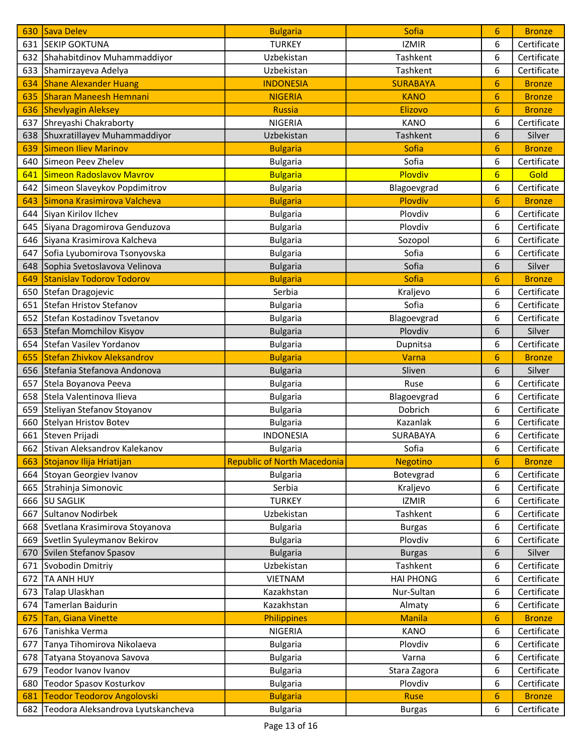| 630 | Sava Delev                         | <b>Bulgaria</b>                    | Sofia            | 6               | <b>Bronze</b> |
|-----|------------------------------------|------------------------------------|------------------|-----------------|---------------|
|     | 631 SEKIP GOKTUNA                  | <b>TURKEY</b>                      | <b>IZMIR</b>     | 6               | Certificate   |
|     | 632 Shahabitdinov Muhammaddiyor    | Uzbekistan                         | Tashkent         | 6               | Certificate   |
|     | 633 Shamirzayeva Adelya            | Uzbekistan                         | Tashkent         | 6               | Certificate   |
| 634 | <b>Shane Alexander Huang</b>       | <b>INDONESIA</b>                   | <b>SURABAYA</b>  | 6               | <b>Bronze</b> |
| 635 | <b>Sharan Maneesh Hemnani</b>      | <b>NIGERIA</b>                     | <b>KANO</b>      | 6               | <b>Bronze</b> |
| 636 | <b>Shevlyagin Aleksey</b>          | <b>Russia</b>                      | <b>Elizovo</b>   | 6               | <b>Bronze</b> |
| 637 | Shreyashi Chakraborty              | <b>NIGERIA</b>                     | <b>KANO</b>      | 6               | Certificate   |
| 638 | Shuxratillayev Muhammaddiyor       | Uzbekistan                         | <b>Tashkent</b>  | 6               | Silver        |
| 639 | <b>Simeon Iliev Marinov</b>        | <b>Bulgaria</b>                    | Sofia            | 6               | <b>Bronze</b> |
| 640 | Simeon Peev Zhelev                 | <b>Bulgaria</b>                    | Sofia            | 6               | Certificate   |
| 641 | Simeon Radoslavov Mavrov           | <b>Bulgaria</b>                    | Plovdiv          | $6\overline{6}$ | Gold          |
|     | 642 Simeon Slaveykov Popdimitrov   | <b>Bulgaria</b>                    | Blagoevgrad      | 6               | Certificate   |
| 643 | Simona Krasimirova Valcheva        | <b>Bulgaria</b>                    | Plovdiv          | 6               | <b>Bronze</b> |
| 644 | Siyan Kirilov Ilchev               | <b>Bulgaria</b>                    | Plovdiv          | 6               | Certificate   |
|     | 645 Siyana Dragomirova Genduzova   | <b>Bulgaria</b>                    | Plovdiv          | 6               | Certificate   |
|     | 646 Siyana Krasimirova Kalcheva    | <b>Bulgaria</b>                    | Sozopol          | 6               | Certificate   |
| 647 | Sofia Lyubomirova Tsonyovska       | <b>Bulgaria</b>                    | Sofia            | 6               | Certificate   |
| 648 | Sophia Svetoslavova Velinova       | <b>Bulgaria</b>                    | Sofia            | 6               | Silver        |
| 649 | <b>Stanislav Todorov Todorov</b>   | <b>Bulgaria</b>                    | <b>Sofia</b>     | 6               | <b>Bronze</b> |
| 650 | Stefan Dragojevic                  | Serbia                             | Kraljevo         | 6               | Certificate   |
| 651 | Stefan Hristov Stefanov            | <b>Bulgaria</b>                    | Sofia            | 6               | Certificate   |
| 652 | Stefan Kostadinov Tsvetanov        | <b>Bulgaria</b>                    | Blagoevgrad      | 6               | Certificate   |
| 653 | Stefan Momchilov Kisyov            | <b>Bulgaria</b>                    | Plovdiv          | 6               | Silver        |
| 654 | Stefan Vasilev Yordanov            | <b>Bulgaria</b>                    | Dupnitsa         | 6               | Certificate   |
| 655 | <b>Stefan Zhivkov Aleksandrov</b>  | <b>Bulgaria</b>                    | Varna            | 6               | <b>Bronze</b> |
|     | 656 Stefania Stefanova Andonova    | <b>Bulgaria</b>                    | Sliven           | 6               | Silver        |
| 657 | Stela Boyanova Peeva               | <b>Bulgaria</b>                    | Ruse             | 6               | Certificate   |
|     | 658 Stela Valentinova Ilieva       | <b>Bulgaria</b>                    | Blagoevgrad      | 6               | Certificate   |
| 659 | Steliyan Stefanov Stoyanov         | <b>Bulgaria</b>                    | Dobrich          | 6               | Certificate   |
| 660 | Stelyan Hristov Botev              | <b>Bulgaria</b>                    | Kazanlak         | 6               | Certificate   |
|     | 661 Steven Prijadi                 | <b>INDONESIA</b>                   | SURABAYA         | 6               | Certificate   |
|     | 662 Stivan Aleksandrov Kalekanov   | <b>Bulgaria</b>                    | Sofia            | 6               | Certificate   |
| 663 | Stojanov Ilija Hriatijan           | <b>Republic of North Macedonia</b> | <b>Negotino</b>  | 6               | <b>Bronze</b> |
|     | 664 Stoyan Georgiev Ivanov         | <b>Bulgaria</b>                    | Botevgrad        | 6               | Certificate   |
|     | 665 Strahinja Simonovic            | Serbia                             | Kraljevo         | 6               | Certificate   |
| 666 | <b>SU SAGLIK</b>                   | <b>TURKEY</b>                      | <b>IZMIR</b>     | 6               | Certificate   |
| 667 | Sultanov Nodirbek                  | Uzbekistan                         | Tashkent         | 6               | Certificate   |
|     | 668 Svetlana Krasimirova Stoyanova | <b>Bulgaria</b>                    | <b>Burgas</b>    | 6               | Certificate   |
|     | 669 Svetlin Syuleymanov Bekirov    | <b>Bulgaria</b>                    | Plovdiv          | 6               | Certificate   |
| 670 | Svilen Stefanov Spasov             | <b>Bulgaria</b>                    | <b>Burgas</b>    | 6               | Silver        |
| 671 | Svobodin Dmitriy                   | Uzbekistan                         | Tashkent         | 6               | Certificate   |
|     | 672   TA ANH HUY                   | VIETNAM                            | <b>HAI PHONG</b> | 6               | Certificate   |
| 673 | Talap Ulaskhan                     | Kazakhstan                         | Nur-Sultan       | 6               | Certificate   |
| 674 | Tamerlan Baidurin                  | Kazakhstan                         | Almaty           | 6               | Certificate   |
| 675 | Tan, Giana Vinette                 | Philippines                        | <b>Manila</b>    | 6               | <b>Bronze</b> |
| 676 | Tanishka Verma                     | NIGERIA                            | <b>KANO</b>      | 6               | Certificate   |
| 677 | Tanya Tihomirova Nikolaeva         | <b>Bulgaria</b>                    | Plovdiv          | 6               | Certificate   |
| 678 | Tatyana Stoyanova Savova           | <b>Bulgaria</b>                    | Varna            | 6               | Certificate   |
| 679 | Teodor Ivanov Ivanov               | <b>Bulgaria</b>                    | Stara Zagora     | 6               | Certificate   |
| 680 | <b>Teodor Spasov Kosturkov</b>     | <b>Bulgaria</b>                    | Plovdiv          | 6               | Certificate   |
| 681 | <b>Teodor Teodorov Angolovski</b>  | <b>Bulgaria</b>                    | <b>Ruse</b>      | 6               | <b>Bronze</b> |
| 682 | Teodora Aleksandrova Lyutskancheva | <b>Bulgaria</b>                    | <b>Burgas</b>    | 6               | Certificate   |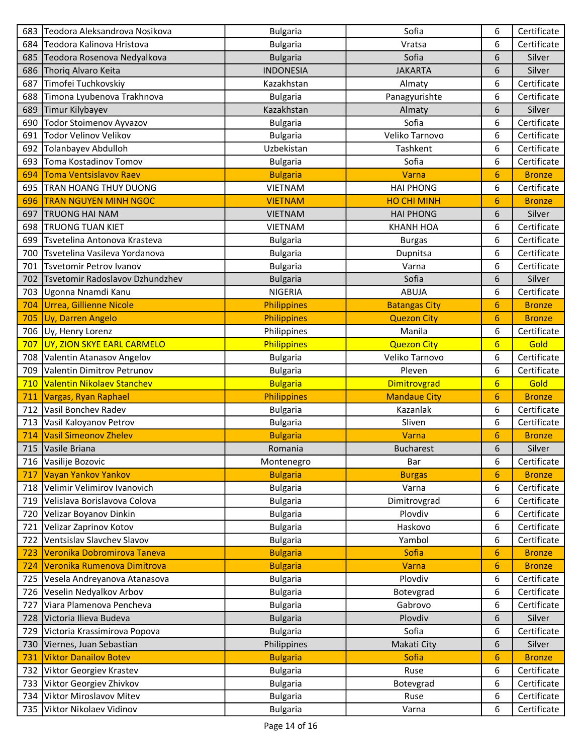| 683 | Teodora Aleksandrova Nosikova     | <b>Bulgaria</b>  | Sofia                | 6               | Certificate   |
|-----|-----------------------------------|------------------|----------------------|-----------------|---------------|
|     | 684 Teodora Kalinova Hristova     | <b>Bulgaria</b>  | Vratsa               | 6               | Certificate   |
| 685 | Teodora Rosenova Nedyalkova       | <b>Bulgaria</b>  | Sofia                | 6               | Silver        |
| 686 | Thoriq Alvaro Keita               | <b>INDONESIA</b> | <b>JAKARTA</b>       | 6               | Silver        |
| 687 | Timofei Tuchkovskiy               | Kazakhstan       | Almaty               | 6               | Certificate   |
| 688 | Timona Lyubenova Trakhnova        | <b>Bulgaria</b>  | Panagyurishte        | 6               | Certificate   |
| 689 | Timur Kilybayev                   | Kazakhstan       | Almaty               | 6               | Silver        |
| 690 | Todor Stoimenov Ayvazov           | <b>Bulgaria</b>  | Sofia                | 6               | Certificate   |
| 691 | Todor Velinov Velikov             | <b>Bulgaria</b>  | Veliko Tarnovo       | 6               | Certificate   |
| 692 | Tolanbayev Abdulloh               | Uzbekistan       | Tashkent             | 6               | Certificate   |
| 693 | Toma Kostadinov Tomov             | <b>Bulgaria</b>  | Sofia                | 6               | Certificate   |
| 694 | <b>Toma Ventsislavov Raev</b>     | <b>Bulgaria</b>  | Varna                | 6               | <b>Bronze</b> |
|     | 695   TRAN HOANG THUY DUONG       | <b>VIETNAM</b>   | <b>HAI PHONG</b>     | 6               | Certificate   |
| 696 | <b>TRAN NGUYEN MINH NGOC</b>      | <b>VIETNAM</b>   | <b>HO CHI MINH</b>   | 6               | <b>Bronze</b> |
| 697 | <b>TRUONG HAI NAM</b>             | <b>VIETNAM</b>   | <b>HAI PHONG</b>     | 6               | Silver        |
| 698 | <b>TRUONG TUAN KIET</b>           | <b>VIETNAM</b>   | <b>KHANH HOA</b>     | 6               | Certificate   |
| 699 | Tsvetelina Antonova Krasteva      | <b>Bulgaria</b>  | <b>Burgas</b>        | 6               | Certificate   |
|     | 700 Tsvetelina Vasileva Yordanova | <b>Bulgaria</b>  | Dupnitsa             | 6               | Certificate   |
| 701 | Tsvetomir Petrov Ivanov           | <b>Bulgaria</b>  | Varna                | 6               | Certificate   |
| 702 | Tsvetomir Radoslavov Dzhundzhev   | <b>Bulgaria</b>  | Sofia                | 6               | Silver        |
| 703 | Ugonna Nnamdi Kanu                | <b>NIGERIA</b>   | <b>ABUJA</b>         | 6               | Certificate   |
| 704 | Urrea, Gillienne Nicole           | Philippines      | <b>Batangas City</b> | 6               | <b>Bronze</b> |
| 705 | Uy, Darren Angelo                 | Philippines      | <b>Quezon City</b>   | 6               | <b>Bronze</b> |
| 706 | Uy, Henry Lorenz                  | Philippines      | Manila               | 6               | Certificate   |
| 707 | UY, ZION SKYE EARL CARMELO        | Philippines      | <b>Quezon City</b>   | $6\overline{6}$ | Gold          |
| 708 | Valentin Atanasov Angelov         | <b>Bulgaria</b>  | Veliko Tarnovo       | 6               | Certificate   |
| 709 | Valentin Dimitrov Petrunov        | <b>Bulgaria</b>  | Pleven               | 6               | Certificate   |
| 710 | Valentin Nikolaev Stanchev        | <b>Bulgaria</b>  | Dimitrovgrad         | $6\overline{6}$ | Gold          |
| 711 | Vargas, Ryan Raphael              | Philippines      | <b>Mandaue City</b>  | 6               | <b>Bronze</b> |
| 712 | Vasil Bonchev Radev               | <b>Bulgaria</b>  | Kazanlak             | 6               | Certificate   |
| 713 | Vasil Kaloyanov Petrov            | <b>Bulgaria</b>  | Sliven               | 6               | Certificate   |
| 714 | <b>Vasil Simeonov Zhelev</b>      | <b>Bulgaria</b>  | Varna                | 6               | <b>Bronze</b> |
|     | 715 Vasile Briana                 | Romania          | <b>Bucharest</b>     | 6               | Silver        |
| 716 | Vasilije Bozovic                  | Montenegro       | Bar                  | 6               | Certificate   |
| 717 | <b>Vayan Yankov Yankov</b>        | <b>Bulgaria</b>  | <b>Burgas</b>        | 6               | <b>Bronze</b> |
| 718 | Velimir Velimirov Ivanovich       | <b>Bulgaria</b>  | Varna                | 6               | Certificate   |
| 719 | Velislava Borislavova Colova      | <b>Bulgaria</b>  | Dimitrovgrad         | 6               | Certificate   |
| 720 | Velizar Boyanov Dinkin            | <b>Bulgaria</b>  | Plovdiv              | 6               | Certificate   |
| 721 | Velizar Zaprinov Kotov            | <b>Bulgaria</b>  | Haskovo              | 6               | Certificate   |
| 722 | Ventsislav Slavchev Slavov        | <b>Bulgaria</b>  | Yambol               | 6               | Certificate   |
| 723 | Veronika Dobromirova Taneva       | <b>Bulgaria</b>  | Sofia                | 6               | <b>Bronze</b> |
| 724 | Veronika Rumenova Dimitrova       | <b>Bulgaria</b>  | Varna                | 6               | <b>Bronze</b> |
| 725 | Vesela Andreyanova Atanasova      | <b>Bulgaria</b>  | Plovdiv              | 6               | Certificate   |
| 726 | Veselin Nedyalkov Arbov           | <b>Bulgaria</b>  | Botevgrad            | 6               | Certificate   |
| 727 | Viara Plamenova Pencheva          | <b>Bulgaria</b>  | Gabrovo              | 6               | Certificate   |
| 728 | Victoria Ilieva Budeva            | <b>Bulgaria</b>  | Plovdiv              | 6               | Silver        |
| 729 | Victoria Krassimirova Popova      | <b>Bulgaria</b>  | Sofia                | 6               | Certificate   |
| 730 | Viernes, Juan Sebastian           | Philippines      | Makati City          | 6               | Silver        |
| 731 | <b>Viktor Danailov Botev</b>      | <b>Bulgaria</b>  | Sofia                | 6               | <b>Bronze</b> |
| 732 | Viktor Georgiev Krastev           | <b>Bulgaria</b>  | Ruse                 | 6               | Certificate   |
| 733 | Viktor Georgiev Zhivkov           | <b>Bulgaria</b>  | Botevgrad            | 6               | Certificate   |
| 734 | Viktor Miroslavov Mitev           | <b>Bulgaria</b>  | Ruse                 | 6               | Certificate   |
|     | 735 Viktor Nikolaev Vidinov       | <b>Bulgaria</b>  | Varna                | 6               | Certificate   |
|     |                                   |                  |                      |                 |               |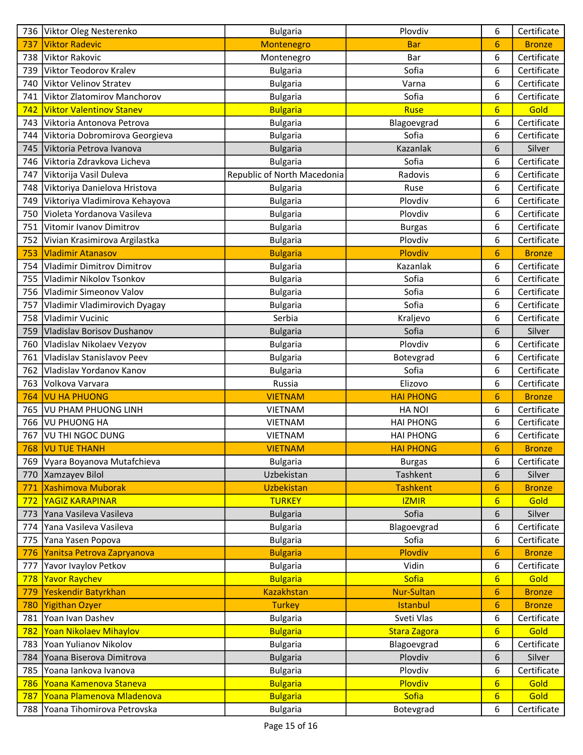|            | 736 Viktor Oleg Nesterenko      | <b>Bulgaria</b>             | Plovdiv             | 6                | Certificate   |
|------------|---------------------------------|-----------------------------|---------------------|------------------|---------------|
| 737        | <b>Viktor Radevic</b>           | Montenegro                  | <b>Bar</b>          | 6                | <b>Bronze</b> |
| 738        | Viktor Rakovic                  | Montenegro                  | Bar                 | 6                | Certificate   |
| 739        | Viktor Teodorov Kralev          | <b>Bulgaria</b>             | Sofia               | 6                | Certificate   |
| 740        | Viktor Velinov Stratev          | <b>Bulgaria</b>             | Varna               | 6                | Certificate   |
| 741        | Viktor Zlatomirov Manchorov     | <b>Bulgaria</b>             | Sofia               | 6                | Certificate   |
| 742        | <b>Viktor Valentinov Stanev</b> | <b>Bulgaria</b>             | <b>Ruse</b>         | $6\overline{6}$  | Gold          |
| 743        | Viktoria Antonova Petrova       | <b>Bulgaria</b>             | Blagoevgrad         | 6                | Certificate   |
| 744        | Viktoria Dobromirova Georgieva  | <b>Bulgaria</b>             | Sofia               | 6                | Certificate   |
| 745        | Viktoria Petrova Ivanova        | <b>Bulgaria</b>             | Kazanlak            | 6                | Silver        |
| 746        | Viktoria Zdravkova Licheva      | <b>Bulgaria</b>             | Sofia               | 6                | Certificate   |
| 747        | Viktorija Vasil Duleva          | Republic of North Macedonia | Radovis             | 6                | Certificate   |
| 748        | Viktoriya Danielova Hristova    | <b>Bulgaria</b>             | Ruse                | 6                | Certificate   |
| 749        | Viktoriya Vladimirova Kehayova  | <b>Bulgaria</b>             | Plovdiv             | 6                | Certificate   |
| 750        | Violeta Yordanova Vasileva      | <b>Bulgaria</b>             | Plovdiv             | 6                | Certificate   |
| 751        | Vitomir Ivanov Dimitrov         | <b>Bulgaria</b>             | <b>Burgas</b>       | 6                | Certificate   |
| 752        | Vivian Krasimirova Argilastka   | <b>Bulgaria</b>             | Plovdiv             | 6                | Certificate   |
| 753        | <b>Vladimir Atanasov</b>        | <b>Bulgaria</b>             | Plovdiv             | 6                | <b>Bronze</b> |
| 754        | Vladimir Dimitrov Dimitrov      | <b>Bulgaria</b>             | Kazanlak            | 6                | Certificate   |
| 755        | Vladimir Nikolov Tsonkov        | <b>Bulgaria</b>             | Sofia               | 6                | Certificate   |
| 756        | Vladimir Simeonov Valov         | <b>Bulgaria</b>             | Sofia               | 6                | Certificate   |
| 757        | Vladimir Vladimirovich Dyagay   | <b>Bulgaria</b>             | Sofia               | 6                | Certificate   |
| 758        | Vladimir Vucinic                | Serbia                      | Kraljevo            | 6                | Certificate   |
| 759        | Vladislav Borisov Dushanov      | <b>Bulgaria</b>             | Sofia               | 6                | Silver        |
| 760        | Vladislav Nikolaev Vezyov       | <b>Bulgaria</b>             | Plovdiv             | 6                | Certificate   |
| 761        | Vladislav Stanislavov Peev      | <b>Bulgaria</b>             | Botevgrad           | 6                | Certificate   |
| 762        | Vladislav Yordanov Kanov        | <b>Bulgaria</b>             | Sofia               | 6                | Certificate   |
| 763        | Volkova Varvara                 | Russia                      | Elizovo             | 6                | Certificate   |
| 764        | <b>VU HA PHUONG</b>             | <b>VIETNAM</b>              | <b>HAI PHONG</b>    | 6                | <b>Bronze</b> |
| 765        | <b>VU PHAM PHUONG LINH</b>      | <b>VIETNAM</b>              | <b>HANOI</b>        | 6                | Certificate   |
| 766        | <b>VU PHUONG HA</b>             | <b>VIETNAM</b>              | <b>HAI PHONG</b>    | 6                | Certificate   |
| 767        | VU THI NGOC DUNG                | <b>VIETNAM</b>              | <b>HAI PHONG</b>    | 6                | Certificate   |
|            | <b>768   VU TUE THANH</b>       | <b>VIETNAM</b>              | <b>HAI PHONG</b>    | 6                | <b>Bronze</b> |
|            | 769 Vyara Boyanova Mutafchieva  | <b>Bulgaria</b>             | <b>Burgas</b>       | 6                | Certificate   |
|            | 770   Xamzayev Bilol            | Uzbekistan                  | Tashkent            | 6                | Silver        |
| 771        | Xashimova Muborak               | Uzbekistan                  | <b>Tashkent</b>     | 6                | <b>Bronze</b> |
| <u>772</u> | YAGIZ KARAPINAR                 | <b>TURKEY</b>               | <b>IZMIR</b>        | $6\phantom{1}6$  | Gold          |
| 773        | Yana Vasileva Vasileva          | <b>Bulgaria</b>             | Sofia               | 6                | Silver        |
| 774        | Yana Vasileva Vasileva          | <b>Bulgaria</b>             | Blagoevgrad         | 6                | Certificate   |
| 775        | Yana Yasen Popova               | <b>Bulgaria</b>             | Sofia               | 6                | Certificate   |
| 776        | Yanitsa Petrova Zapryanova      | <b>Bulgaria</b>             | Plovdiv             | 6                | <b>Bronze</b> |
| 777        | Yavor Ivaylov Petkov            | <b>Bulgaria</b>             | Vidin               | 6                | Certificate   |
| 778        | <b>Yavor Raychev</b>            | <b>Bulgaria</b>             | Sofia               | $6\overline{6}$  | Gold          |
| 779        | Yeskendir Batyrkhan             | <b>Kazakhstan</b>           | <b>Nur-Sultan</b>   | $\overline{6}$   | <b>Bronze</b> |
| 780        | Yigithan Ozyer                  | <b>Turkey</b>               | Istanbul            | $\boldsymbol{6}$ | <b>Bronze</b> |
| 781        | Yoan Ivan Dashev                | <b>Bulgaria</b>             | Sveti Vlas          | 6                | Certificate   |
| 782        | Yoan Nikolaev Mihaylov          | <b>Bulgaria</b>             | <b>Stara Zagora</b> | $6\phantom{1}6$  | Gold          |
| 783        | Yoan Yulianov Nikolov           | <b>Bulgaria</b>             | Blagoevgrad         | 6                | Certificate   |
| 784        | Yoana Biserova Dimitrova        | <b>Bulgaria</b>             | Plovdiv             | 6                | Silver        |
| 785        | Yoana lankova Ivanova           | <b>Bulgaria</b>             | Plovdiv             | 6                | Certificate   |
| 786        | Yoana Kamenova Staneva          | <b>Bulgaria</b>             | Plovdiv             | $6\phantom{a}$   | Gold          |
| 787        | Yoana Plamenova Mladenova       | <b>Bulgaria</b>             | Sofia               | $6\phantom{1}6$  | Gold          |
|            | 788 Yoana Tihomirova Petrovska  | <b>Bulgaria</b>             | Botevgrad           | 6                | Certificate   |
|            |                                 |                             |                     |                  |               |